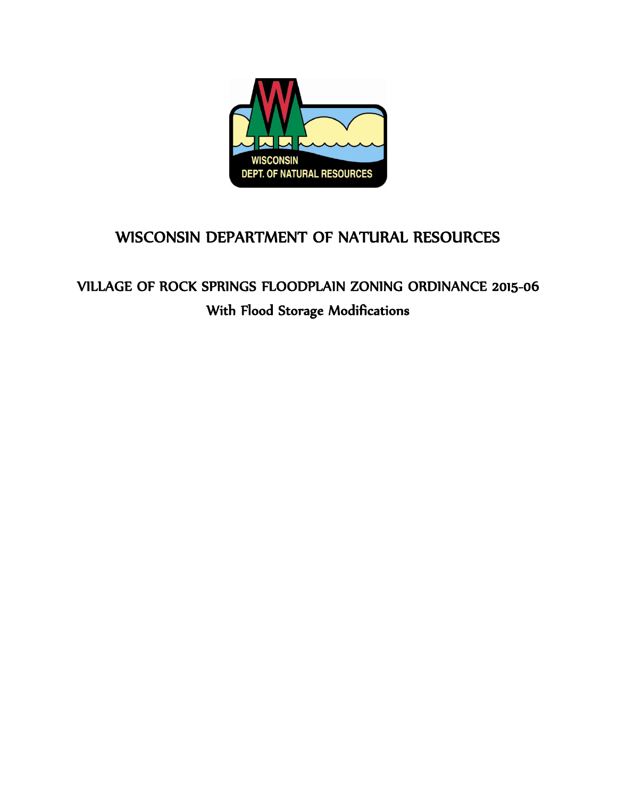

# WISCONSIN DEPARTMENT OF NATURAL RESOURCES

# VILLAGE OF ROCK SPRINGS FLOODPLAIN ZONING ORDINANCE 2015-06 With Flood Storage Modifications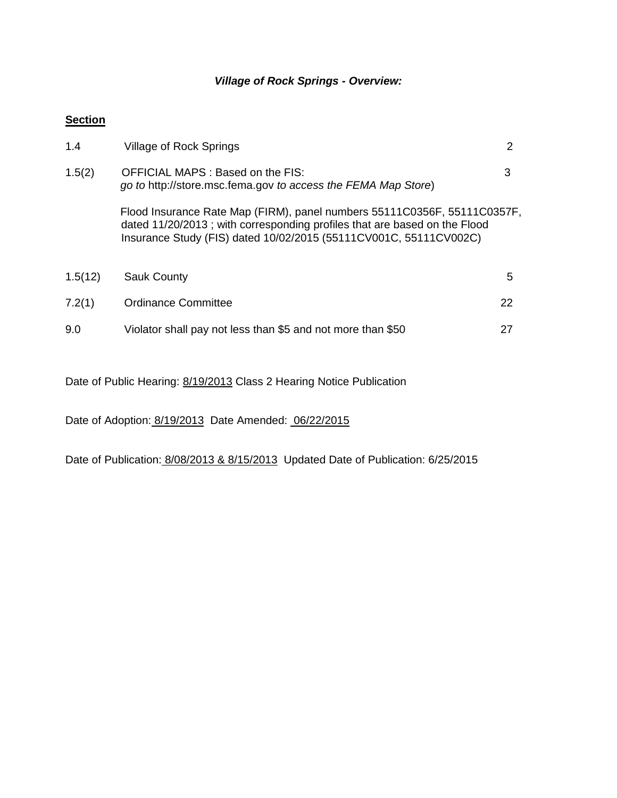### *Village of Rock Springs - Overview:*

### **Section**

| 1.4     | Village of Rock Springs                                                                                                                                                                                                    | 2  |  |  |
|---------|----------------------------------------------------------------------------------------------------------------------------------------------------------------------------------------------------------------------------|----|--|--|
| 1.5(2)  | OFFICIAL MAPS : Based on the FIS:<br>go to http://store.msc.fema.gov to access the FEMA Map Store)                                                                                                                         | 3  |  |  |
|         | Flood Insurance Rate Map (FIRM), panel numbers 55111C0356F, 55111C0357F,<br>dated 11/20/2013; with corresponding profiles that are based on the Flood<br>Insurance Study (FIS) dated 10/02/2015 (55111CV001C, 55111CV002C) |    |  |  |
| 1.5(12) | <b>Sauk County</b>                                                                                                                                                                                                         | 5  |  |  |
| 7.2(1)  | Ordinance Committee                                                                                                                                                                                                        | 22 |  |  |
| 9.0     | Violator shall pay not less than \$5 and not more than \$50                                                                                                                                                                | 27 |  |  |

Date of Public Hearing: 8/19/2013 Class 2 Hearing Notice Publication

Date of Adoption: 8/19/2013 Date Amended: 06/22/2015

Date of Publication: 8/08/2013 & 8/15/2013 Updated Date of Publication: 6/25/2015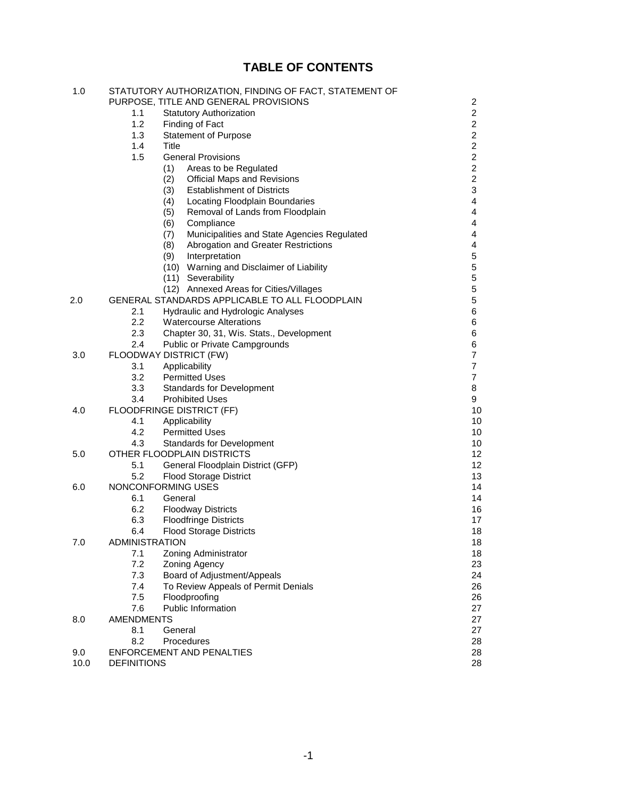## **TABLE OF CONTENTS**

| 1.0  |                       | STATUTORY AUTHORIZATION, FINDING OF FACT, STATEMENT OF |                |
|------|-----------------------|--------------------------------------------------------|----------------|
|      |                       | PURPOSE, TITLE AND GENERAL PROVISIONS                  | 2              |
|      | 1.1                   | <b>Statutory Authorization</b>                         | 2              |
|      | 1.2                   | Finding of Fact                                        | $\overline{c}$ |
|      | 1.3                   | <b>Statement of Purpose</b>                            | $\overline{2}$ |
|      | 1.4                   | Title                                                  | $\overline{c}$ |
|      | 1.5                   | <b>General Provisions</b>                              | $\overline{2}$ |
|      |                       | (1)<br>Areas to be Regulated                           | $\overline{c}$ |
|      |                       | (2)<br><b>Official Maps and Revisions</b>              | $\overline{c}$ |
|      |                       | (3)<br><b>Establishment of Districts</b>               | 3              |
|      |                       | (4)<br>Locating Floodplain Boundaries                  | 4              |
|      |                       | Removal of Lands from Floodplain<br>(5)                | 4              |
|      |                       | Compliance<br>(6)                                      | 4              |
|      |                       | Municipalities and State Agencies Regulated<br>(7)     | 4              |
|      |                       | (8)<br>Abrogation and Greater Restrictions             | 4              |
|      |                       | (9)<br>Interpretation                                  | 5              |
|      |                       | (10) Warning and Disclaimer of Liability               | 5              |
|      |                       | (11) Severability                                      | $\mathbf 5$    |
|      |                       | (12) Annexed Areas for Cities/Villages                 | 5              |
| 2.0  |                       | GENERAL STANDARDS APPLICABLE TO ALL FLOODPLAIN         | 5              |
|      | 2.1                   | Hydraulic and Hydrologic Analyses                      | 6              |
|      | $2.2\,$               | <b>Watercourse Alterations</b>                         | 6              |
|      | 2.3                   | Chapter 30, 31, Wis. Stats., Development               | 6              |
|      | $2.4\,$               | Public or Private Campgrounds                          | 6              |
| 3.0  |                       | FLOODWAY DISTRICT (FW)                                 | $\overline{7}$ |
|      | 3.1                   | Applicability                                          | $\overline{7}$ |
|      | 3.2                   | <b>Permitted Uses</b>                                  | 7              |
|      | 3.3                   | <b>Standards for Development</b>                       | 8              |
|      | 3.4                   | <b>Prohibited Uses</b>                                 | 9              |
| 4.0  |                       | FLOODFRINGE DISTRICT (FF)                              | 10             |
|      | 4.1                   | Applicability                                          | 10             |
|      | 4.2                   | <b>Permitted Uses</b>                                  | 10             |
|      | 4.3                   | <b>Standards for Development</b>                       | 10             |
| 5.0  |                       | OTHER FLOODPLAIN DISTRICTS                             | 12             |
|      | 5.1                   | General Floodplain District (GFP)                      | 12             |
|      | 5.2                   | <b>Flood Storage District</b>                          | 13             |
| 6.0  |                       | NONCONFORMING USES                                     | 14             |
|      | 6.1                   | General                                                | 14             |
|      | 6.2                   | <b>Floodway Districts</b>                              | 16             |
|      | 6.3                   | <b>Floodfringe Districts</b>                           | 17             |
|      | 6.4                   | <b>Flood Storage Districts</b>                         | 18             |
| 7.0  | <b>ADMINISTRATION</b> |                                                        | 18             |
|      | 7.1                   | Zoning Administrator                                   | 18             |
|      | 7.2                   | Zoning Agency                                          | 23             |
|      | 7.3                   | Board of Adjustment/Appeals                            | 24             |
|      | 7.4                   | To Review Appeals of Permit Denials                    | 26             |
|      | 7.5                   | Floodproofing                                          | 26             |
|      | 7.6                   | <b>Public Information</b>                              | 27             |
| 8.0  | <b>AMENDMENTS</b>     |                                                        | 27             |
|      | 8.1                   | General                                                | 27             |
|      | 8.2                   | Procedures                                             | 28             |
| 9.0  |                       | ENFORCEMENT AND PENALTIES                              | 28             |
| 10.0 | <b>DEFINITIONS</b>    |                                                        | 28             |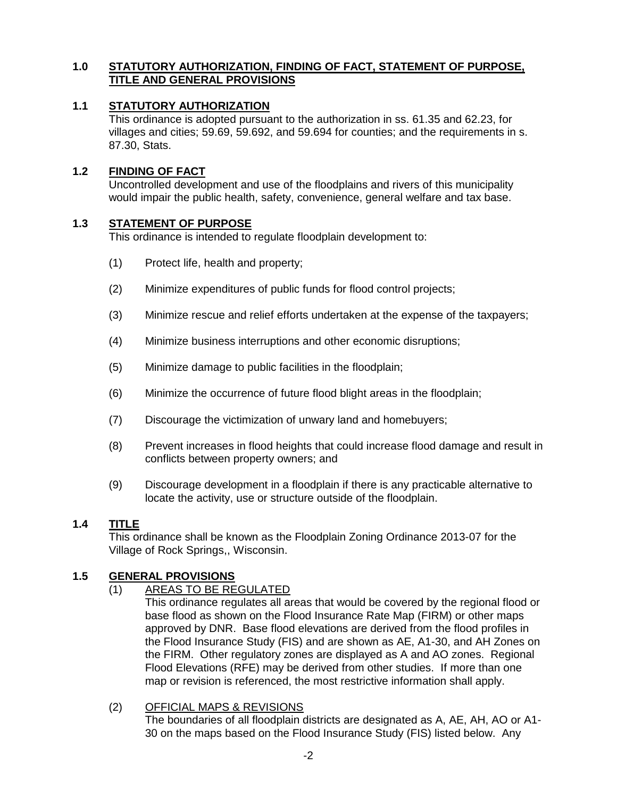### **1.0 STATUTORY AUTHORIZATION, FINDING OF FACT, STATEMENT OF PURPOSE, TITLE AND GENERAL PROVISIONS**

### **1.1 STATUTORY AUTHORIZATION**

This ordinance is adopted pursuant to the authorization in ss. 61.35 and 62.23, for villages and cities; 59.69, 59.692, and 59.694 for counties; and the requirements in s. 87.30, Stats.

### **1.2 FINDING OF FACT**

Uncontrolled development and use of the floodplains and rivers of this municipality would impair the public health, safety, convenience, general welfare and tax base.

### **1.3 STATEMENT OF PURPOSE**

This ordinance is intended to regulate floodplain development to:

- (1) Protect life, health and property;
- (2) Minimize expenditures of public funds for flood control projects;
- (3) Minimize rescue and relief efforts undertaken at the expense of the taxpayers;
- (4) Minimize business interruptions and other economic disruptions;
- (5) Minimize damage to public facilities in the floodplain;
- (6) Minimize the occurrence of future flood blight areas in the floodplain;
- (7) Discourage the victimization of unwary land and homebuyers;
- (8) Prevent increases in flood heights that could increase flood damage and result in conflicts between property owners; and
- (9) Discourage development in a floodplain if there is any practicable alternative to locate the activity, use or structure outside of the floodplain.

### **1.4 TITLE**

This ordinance shall be known as the Floodplain Zoning Ordinance 2013-07 for the Village of Rock Springs,, Wisconsin.

### **1.5 GENERAL PROVISIONS**

(1) AREAS TO BE REGULATED

This ordinance regulates all areas that would be covered by the regional flood or base flood as shown on the Flood Insurance Rate Map (FIRM) or other maps approved by DNR. Base flood elevations are derived from the flood profiles in the Flood Insurance Study (FIS) and are shown as AE, A1-30, and AH Zones on the FIRM. Other regulatory zones are displayed as A and AO zones. Regional Flood Elevations (RFE) may be derived from other studies. If more than one map or revision is referenced, the most restrictive information shall apply.

### (2) OFFICIAL MAPS & REVISIONS

The boundaries of all floodplain districts are designated as A, AE, AH, AO or A1- 30 on the maps based on the Flood Insurance Study (FIS) listed below. Any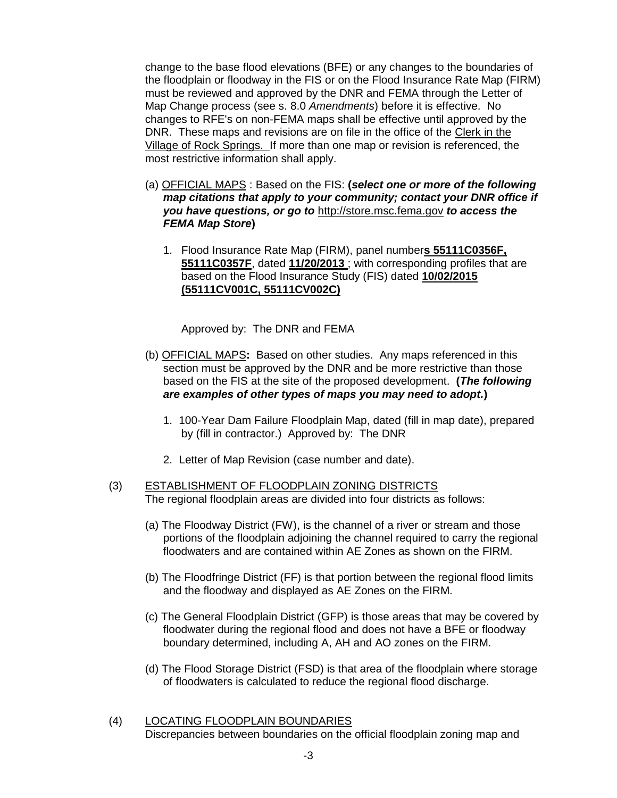change to the base flood elevations (BFE) or any changes to the boundaries of the floodplain or floodway in the FIS or on the Flood Insurance Rate Map (FIRM) must be reviewed and approved by the DNR and FEMA through the Letter of Map Change process (see s. 8.0 *Amendments*) before it is effective. No changes to RFE's on non-FEMA maps shall be effective until approved by the DNR. These maps and revisions are on file in the office of the Clerk in the Village of Rock Springs. If more than one map or revision is referenced, the most restrictive information shall apply.

- (a) OFFICIAL MAPS : Based on the FIS: **(***select one or more of the following map citations that apply to your community; contact your DNR office if you have questions, or go to* [http://store.msc.fema.gov](http://store.msc.fema.gov/) *to access the FEMA Map Store***)**
	- 1. Flood Insurance Rate Map (FIRM), panel number**s 55111C0356F, 55111C0357F**, dated **11/20/2013** ; with corresponding profiles that are based on the Flood Insurance Study (FIS) dated **10/02/2015 (55111CV001C, 55111CV002C)**

Approved by: The DNR and FEMA

- (b) OFFICIAL MAPS**:** Based on other studies.Any maps referenced in this section must be approved by the DNR and be more restrictive than those based on the FIS at the site of the proposed development. **(***The following are examples of other types of maps you may need to adopt.***)**
	- 1. 100-Year Dam Failure Floodplain Map, dated (fill in map date), prepared by (fill in contractor.) Approved by: The DNR
	- 2. Letter of Map Revision (case number and date).

#### (3) ESTABLISHMENT OF FLOODPLAIN ZONING DISTRICTS The regional floodplain areas are divided into four districts as follows:

- (a) The Floodway District (FW), is the channel of a river or stream and those portions of the floodplain adjoining the channel required to carry the regional floodwaters and are contained within AE Zones as shown on the FIRM.
- (b) The Floodfringe District (FF) is that portion between the regional flood limits and the floodway and displayed as AE Zones on the FIRM.
- (c) The General Floodplain District (GFP) is those areas that may be covered by floodwater during the regional flood and does not have a BFE or floodway boundary determined, including A, AH and AO zones on the FIRM.
- (d) The Flood Storage District (FSD) is that area of the floodplain where storage of floodwaters is calculated to reduce the regional flood discharge.
- (4) LOCATING FLOODPLAIN BOUNDARIES Discrepancies between boundaries on the official floodplain zoning map and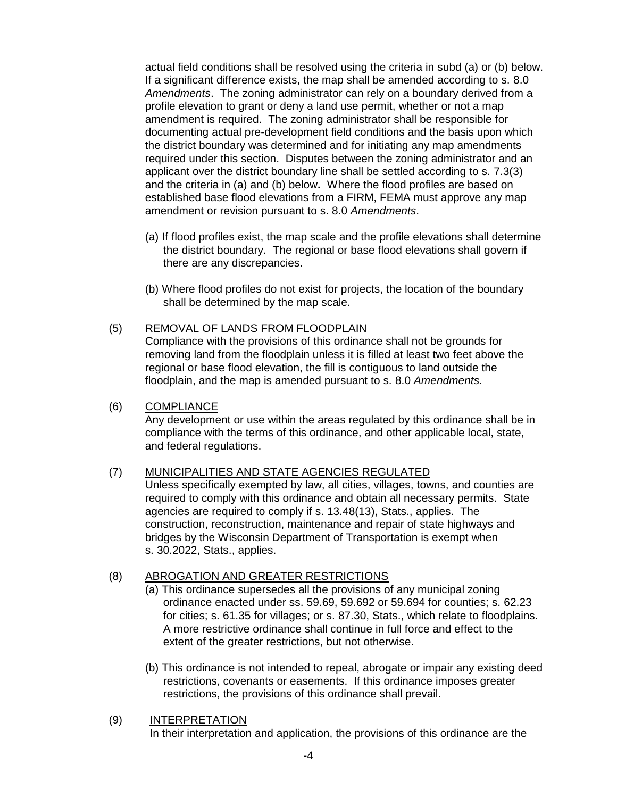actual field conditions shall be resolved using the criteria in subd (a) or (b) below. If a significant difference exists, the map shall be amended according to s. 8.0 *Amendments*. The zoning administrator can rely on a boundary derived from a profile elevation to grant or deny a land use permit, whether or not a map amendment is required. The zoning administrator shall be responsible for documenting actual pre-development field conditions and the basis upon which the district boundary was determined and for initiating any map amendments required under this section. Disputes between the zoning administrator and an applicant over the district boundary line shall be settled according to s. 7.3(3) and the criteria in (a) and (b) below**.** Where the flood profiles are based on established base flood elevations from a FIRM, FEMA must approve any map amendment or revision pursuant to s. 8.0 *Amendments*.

- (a) If flood profiles exist, the map scale and the profile elevations shall determine the district boundary. The regional or base flood elevations shall govern if there are any discrepancies.
- (b) Where flood profiles do not exist for projects, the location of the boundary shall be determined by the map scale.

# (5) REMOVAL OF LANDS FROM FLOODPLAIN

Compliance with the provisions of this ordinance shall not be grounds for removing land from the floodplain unless it is filled at least two feet above the regional or base flood elevation, the fill is contiguous to land outside the floodplain, and the map is amended pursuant to s. 8.0 *Amendments.*

### (6) COMPLIANCE

Any development or use within the areas regulated by this ordinance shall be in compliance with the terms of this ordinance, and other applicable local, state, and federal regulations.

### (7) MUNICIPALITIES AND STATE AGENCIES REGULATED

Unless specifically exempted by law, all cities, villages, towns, and counties are required to comply with this ordinance and obtain all necessary permits. State agencies are required to comply if s. 13.48(13), Stats., applies. The construction, reconstruction, maintenance and repair of state highways and bridges by the Wisconsin Department of Transportation is exempt when s. 30.2022, Stats., applies.

### (8) ABROGATION AND GREATER RESTRICTIONS

- (a) This ordinance supersedes all the provisions of any municipal zoning ordinance enacted under ss. 59.69, 59.692 or 59.694 for counties; s. 62.23 for cities; s. 61.35 for villages; or s. 87.30, Stats., which relate to floodplains. A more restrictive ordinance shall continue in full force and effect to the extent of the greater restrictions, but not otherwise.
- (b) This ordinance is not intended to repeal, abrogate or impair any existing deed restrictions, covenants or easements. If this ordinance imposes greater restrictions, the provisions of this ordinance shall prevail.
- (9) INTERPRETATION

In their interpretation and application, the provisions of this ordinance are the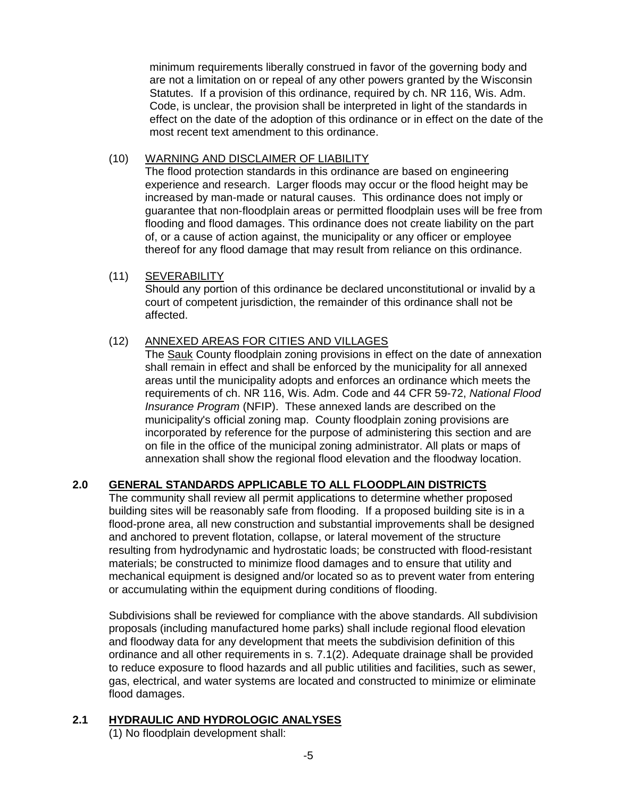minimum requirements liberally construed in favor of the governing body and are not a limitation on or repeal of any other powers granted by the Wisconsin Statutes. If a provision of this ordinance, required by ch. NR 116, Wis. Adm. Code, is unclear, the provision shall be interpreted in light of the standards in effect on the date of the adoption of this ordinance or in effect on the date of the most recent text amendment to this ordinance.

### (10) WARNING AND DISCLAIMER OF LIABILITY

The flood protection standards in this ordinance are based on engineering experience and research. Larger floods may occur or the flood height may be increased by man-made or natural causes. This ordinance does not imply or guarantee that non-floodplain areas or permitted floodplain uses will be free from flooding and flood damages. This ordinance does not create liability on the part of, or a cause of action against, the municipality or any officer or employee thereof for any flood damage that may result from reliance on this ordinance.

### (11) SEVERABILITY

Should any portion of this ordinance be declared unconstitutional or invalid by a court of competent jurisdiction, the remainder of this ordinance shall not be affected.

### (12) ANNEXED AREAS FOR CITIES AND VILLAGES

The **Sauk County floodplain zoning provisions in effect on the date of annexation** shall remain in effect and shall be enforced by the municipality for all annexed areas until the municipality adopts and enforces an ordinance which meets the requirements of ch. NR 116, Wis. Adm. Code and 44 CFR 59-72, *National Flood Insurance Program* (NFIP). These annexed lands are described on the municipality's official zoning map. County floodplain zoning provisions are incorporated by reference for the purpose of administering this section and are on file in the office of the municipal zoning administrator. All plats or maps of annexation shall show the regional flood elevation and the floodway location.

### **2.0 GENERAL STANDARDS APPLICABLE TO ALL FLOODPLAIN DISTRICTS**

The community shall review all permit applications to determine whether proposed building sites will be reasonably safe from flooding. If a proposed building site is in a flood-prone area, all new construction and substantial improvements shall be designed and anchored to prevent flotation, collapse, or lateral movement of the structure resulting from hydrodynamic and hydrostatic loads; be constructed with flood-resistant materials; be constructed to minimize flood damages and to ensure that utility and mechanical equipment is designed and/or located so as to prevent water from entering or accumulating within the equipment during conditions of flooding.

Subdivisions shall be reviewed for compliance with the above standards. All subdivision proposals (including manufactured home parks) shall include regional flood elevation and floodway data for any development that meets the subdivision definition of this ordinance and all other requirements in s. 7.1(2). Adequate drainage shall be provided to reduce exposure to flood hazards and all public utilities and facilities, such as sewer, gas, electrical, and water systems are located and constructed to minimize or eliminate flood damages.

### **2.1 HYDRAULIC AND HYDROLOGIC ANALYSES**

(1) No floodplain development shall: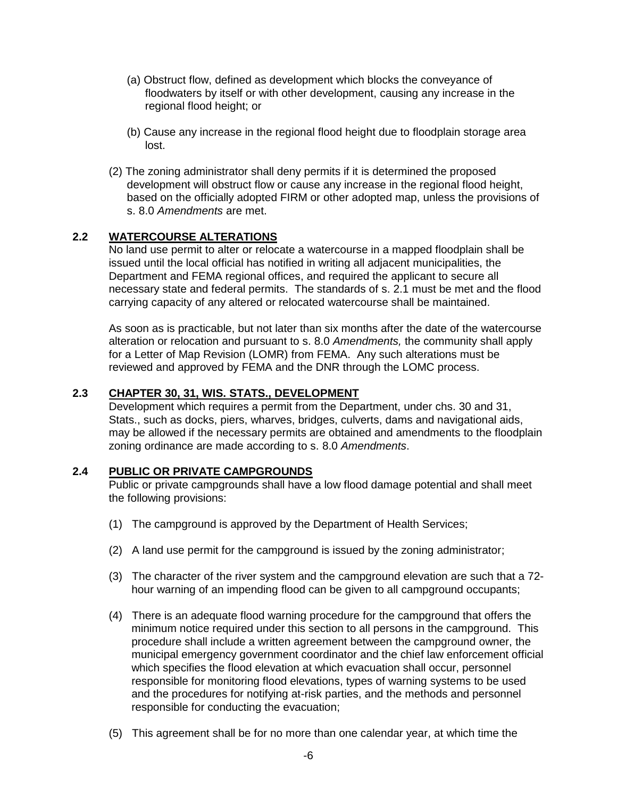- (a) Obstruct flow, defined as development which blocks the conveyance of floodwaters by itself or with other development, causing any increase in the regional flood height; or
- (b) Cause any increase in the regional flood height due to floodplain storage area lost.
- (2) The zoning administrator shall deny permits if it is determined the proposed development will obstruct flow or cause any increase in the regional flood height, based on the officially adopted FIRM or other adopted map, unless the provisions of s. 8.0 *Amendments* are met.

### **2.2 WATERCOURSE ALTERATIONS**

No land use permit to alter or relocate a watercourse in a mapped floodplain shall be issued until the local official has notified in writing all adjacent municipalities, the Department and FEMA regional offices, and required the applicant to secure all necessary state and federal permits. The standards of s. 2.1 must be met and the flood carrying capacity of any altered or relocated watercourse shall be maintained.

As soon as is practicable, but not later than six months after the date of the watercourse alteration or relocation and pursuant to s. 8.0 *Amendments,* the community shall apply for a Letter of Map Revision (LOMR) from FEMA. Any such alterations must be reviewed and approved by FEMA and the DNR through the LOMC process.

### **2.3 CHAPTER 30, 31, WIS. STATS., DEVELOPMENT**

Development which requires a permit from the Department, under chs. 30 and 31, Stats., such as docks, piers, wharves, bridges, culverts, dams and navigational aids, may be allowed if the necessary permits are obtained and amendments to the floodplain zoning ordinance are made according to s. 8.0 *Amendments*.

### **2.4 PUBLIC OR PRIVATE CAMPGROUNDS**

Public or private campgrounds shall have a low flood damage potential and shall meet the following provisions:

- (1) The campground is approved by the Department of Health Services;
- (2) A land use permit for the campground is issued by the zoning administrator;
- (3) The character of the river system and the campground elevation are such that a 72 hour warning of an impending flood can be given to all campground occupants;
- (4) There is an adequate flood warning procedure for the campground that offers the minimum notice required under this section to all persons in the campground. This procedure shall include a written agreement between the campground owner, the municipal emergency government coordinator and the chief law enforcement official which specifies the flood elevation at which evacuation shall occur, personnel responsible for monitoring flood elevations, types of warning systems to be used and the procedures for notifying at-risk parties, and the methods and personnel responsible for conducting the evacuation;
- (5) This agreement shall be for no more than one calendar year, at which time the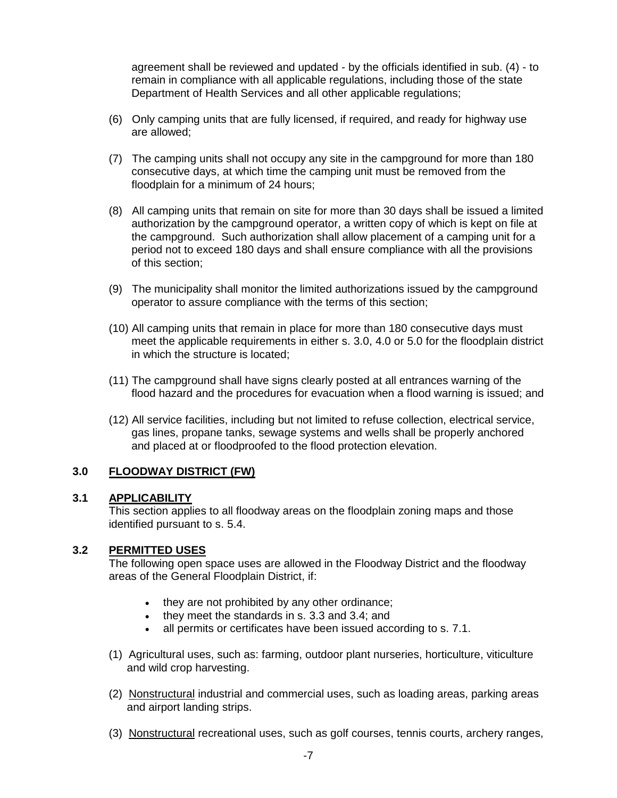agreement shall be reviewed and updated - by the officials identified in sub. (4) - to remain in compliance with all applicable regulations, including those of the state Department of Health Services and all other applicable regulations;

- (6) Only camping units that are fully licensed, if required, and ready for highway use are allowed;
- (7) The camping units shall not occupy any site in the campground for more than 180 consecutive days, at which time the camping unit must be removed from the floodplain for a minimum of 24 hours;
- (8) All camping units that remain on site for more than 30 days shall be issued a limited authorization by the campground operator, a written copy of which is kept on file at the campground. Such authorization shall allow placement of a camping unit for a period not to exceed 180 days and shall ensure compliance with all the provisions of this section;
- (9) The municipality shall monitor the limited authorizations issued by the campground operator to assure compliance with the terms of this section;
- (10) All camping units that remain in place for more than 180 consecutive days must meet the applicable requirements in either s. 3.0, 4.0 or 5.0 for the floodplain district in which the structure is located;
- (11) The campground shall have signs clearly posted at all entrances warning of the flood hazard and the procedures for evacuation when a flood warning is issued; and
- (12) All service facilities, including but not limited to refuse collection, electrical service, gas lines, propane tanks, sewage systems and wells shall be properly anchored and placed at or floodproofed to the flood protection elevation.

### **3.0 FLOODWAY DISTRICT (FW)**

#### **3.1 APPLICABILITY**

This section applies to all floodway areas on the floodplain zoning maps and those identified pursuant to s. 5.4.

### **3.2 PERMITTED USES**

The following open space uses are allowed in the Floodway District and the floodway areas of the General Floodplain District, if:

- they are not prohibited by any other ordinance;
- they meet the standards in s. 3.3 and 3.4; and
- all permits or certificates have been issued according to s. 7.1.
- (1) Agricultural uses, such as: farming, outdoor plant nurseries, horticulture, viticulture and wild crop harvesting.
- (2) Nonstructural industrial and commercial uses, such as loading areas, parking areas and airport landing strips.
- (3) Nonstructural recreational uses, such as golf courses, tennis courts, archery ranges,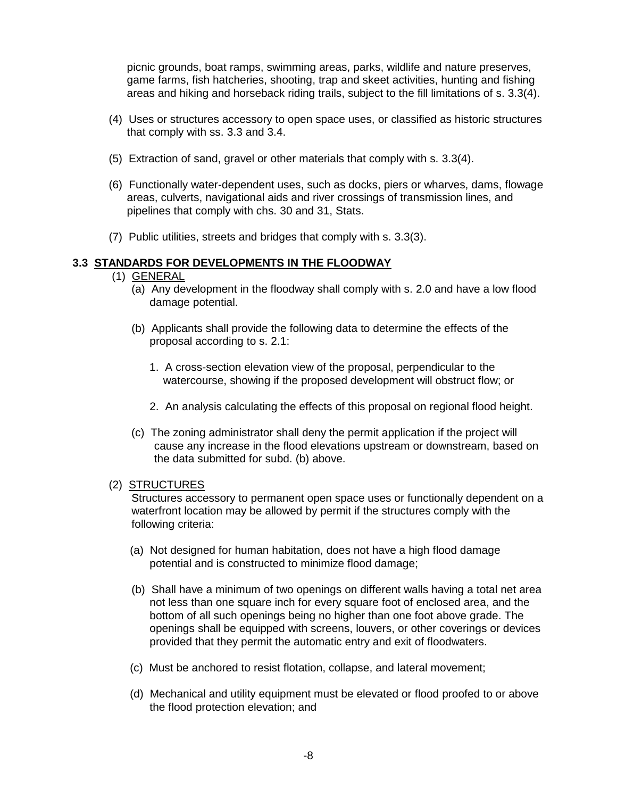picnic grounds, boat ramps, swimming areas, parks, wildlife and nature preserves, game farms, fish hatcheries, shooting, trap and skeet activities, hunting and fishing areas and hiking and horseback riding trails, subject to the fill limitations of s. 3.3(4).

- (4) Uses or structures accessory to open space uses, or classified as historic structures that comply with ss. 3.3 and 3.4.
- (5) Extraction of sand, gravel or other materials that comply with s. 3.3(4).
- (6) Functionally water-dependent uses, such as docks, piers or wharves, dams, flowage areas, culverts, navigational aids and river crossings of transmission lines, and pipelines that comply with chs. 30 and 31, Stats.
- (7) Public utilities, streets and bridges that comply with s. 3.3(3).

### **3.3 STANDARDS FOR DEVELOPMENTS IN THE FLOODWAY**

- (1) GENERAL
	- (a) Any development in the floodway shall comply with s. 2.0 and have a low flood damage potential.
	- (b) Applicants shall provide the following data to determine the effects of the proposal according to s. 2.1:
		- 1. A cross-section elevation view of the proposal, perpendicular to the watercourse, showing if the proposed development will obstruct flow; or
		- 2. An analysis calculating the effects of this proposal on regional flood height.
	- (c) The zoning administrator shall deny the permit application if the project will cause any increase in the flood elevations upstream or downstream, based on the data submitted for subd. (b) above.

#### (2) STRUCTURES

Structures accessory to permanent open space uses or functionally dependent on a waterfront location may be allowed by permit if the structures comply with the following criteria:

- (a) Not designed for human habitation, does not have a high flood damage potential and is constructed to minimize flood damage;
- (b) Shall have a minimum of two openings on different walls having a total net area not less than one square inch for every square foot of enclosed area, and the bottom of all such openings being no higher than one foot above grade. The openings shall be equipped with screens, louvers, or other coverings or devices provided that they permit the automatic entry and exit of floodwaters.
- (c) Must be anchored to resist flotation, collapse, and lateral movement;
- (d) Mechanical and utility equipment must be elevated or flood proofed to or above the flood protection elevation; and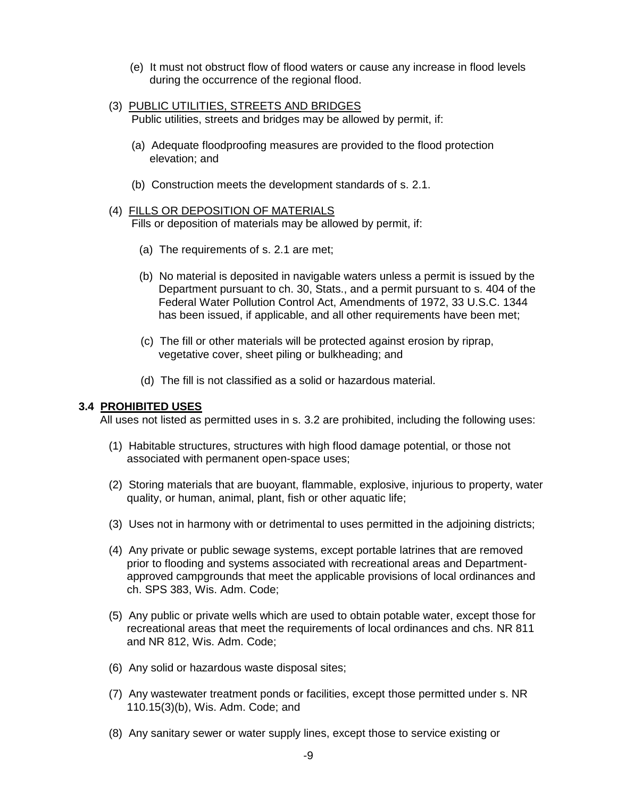- (e) It must not obstruct flow of flood waters or cause any increase in flood levels during the occurrence of the regional flood.
- (3) PUBLIC UTILITIES, STREETS AND BRIDGES Public utilities, streets and bridges may be allowed by permit, if:
	- (a) Adequate floodproofing measures are provided to the flood protection elevation; and
	- (b) Construction meets the development standards of s. 2.1.

#### (4) FILLS OR DEPOSITION OF MATERIALS

Fills or deposition of materials may be allowed by permit, if:

- (a) The requirements of s. 2.1 are met;
- (b) No material is deposited in navigable waters unless a permit is issued by the Department pursuant to ch. 30, Stats., and a permit pursuant to s. 404 of the Federal Water Pollution Control Act, Amendments of 1972, 33 U.S.C. 1344 has been issued, if applicable, and all other requirements have been met;
- (c) The fill or other materials will be protected against erosion by riprap, vegetative cover, sheet piling or bulkheading; and
- (d) The fill is not classified as a solid or hazardous material.

#### **3.4 PROHIBITED USES**

All uses not listed as permitted uses in s. 3.2 are prohibited, including the following uses:

- (1) Habitable structures, structures with high flood damage potential, or those not associated with permanent open-space uses;
- (2) Storing materials that are buoyant, flammable, explosive, injurious to property, water quality, or human, animal, plant, fish or other aquatic life;
- (3) Uses not in harmony with or detrimental to uses permitted in the adjoining districts;
- (4) Any private or public sewage systems, except portable latrines that are removed prior to flooding and systems associated with recreational areas and Departmentapproved campgrounds that meet the applicable provisions of local ordinances and ch. SPS 383, Wis. Adm. Code;
- (5) Any public or private wells which are used to obtain potable water, except those for recreational areas that meet the requirements of local ordinances and chs. NR 811 and NR 812, Wis. Adm. Code;
- (6) Any solid or hazardous waste disposal sites;
- (7) Any wastewater treatment ponds or facilities, except those permitted under s. NR 110.15(3)(b), Wis. Adm. Code; and
- (8) Any sanitary sewer or water supply lines, except those to service existing or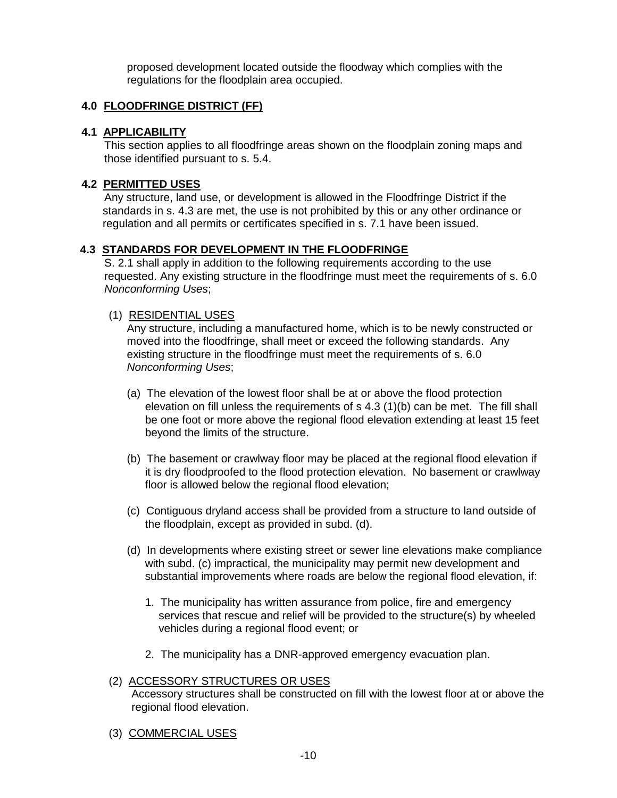proposed development located outside the floodway which complies with the regulations for the floodplain area occupied.

### **4.0 FLOODFRINGE DISTRICT (FF)**

### **4.1 APPLICABILITY**

This section applies to all floodfringe areas shown on the floodplain zoning maps and those identified pursuant to s. 5.4.

### **4.2 PERMITTED USES**

Any structure, land use, or development is allowed in the Floodfringe District if the standards in s. 4.3 are met, the use is not prohibited by this or any other ordinance or regulation and all permits or certificates specified in s. 7.1 have been issued.

### **4.3 STANDARDS FOR DEVELOPMENT IN THE FLOODFRINGE**

S. 2.1 shall apply in addition to the following requirements according to the use requested. Any existing structure in the floodfringe must meet the requirements of s. 6.0 *Nonconforming Uses*;

### (1) RESIDENTIAL USES

Any structure, including a manufactured home, which is to be newly constructed or moved into the floodfringe, shall meet or exceed the following standards. Any existing structure in the floodfringe must meet the requirements of s. 6.0 *Nonconforming Uses*;

- (a) The elevation of the lowest floor shall be at or above the flood protection elevation on fill unless the requirements of s 4.3 (1)(b) can be met. The fill shall be one foot or more above the regional flood elevation extending at least 15 feet beyond the limits of the structure.
- (b) The basement or crawlway floor may be placed at the regional flood elevation if it is dry floodproofed to the flood protection elevation. No basement or crawlway floor is allowed below the regional flood elevation;
- (c) Contiguous dryland access shall be provided from a structure to land outside of the floodplain, except as provided in subd. (d).
- (d) In developments where existing street or sewer line elevations make compliance with subd. (c) impractical, the municipality may permit new development and substantial improvements where roads are below the regional flood elevation, if:
	- 1. The municipality has written assurance from police, fire and emergency services that rescue and relief will be provided to the structure(s) by wheeled vehicles during a regional flood event; or
	- 2. The municipality has a DNR-approved emergency evacuation plan.

### (2) ACCESSORY STRUCTURES OR USES Accessory structures shall be constructed on fill with the lowest floor at or above the regional flood elevation.

(3) COMMERCIAL USES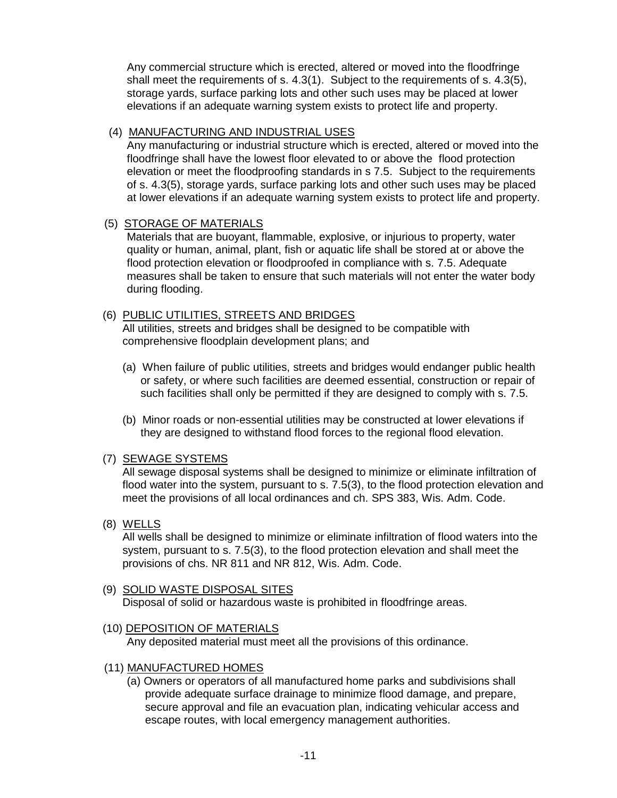Any commercial structure which is erected, altered or moved into the floodfringe shall meet the requirements of s. 4.3(1). Subject to the requirements of s. 4.3(5), storage yards, surface parking lots and other such uses may be placed at lower elevations if an adequate warning system exists to protect life and property.

### (4) MANUFACTURING AND INDUSTRIAL USES

Any manufacturing or industrial structure which is erected, altered or moved into the floodfringe shall have the lowest floor elevated to or above the flood protection elevation or meet the floodproofing standards in s 7.5. Subject to the requirements of s. 4.3(5), storage yards, surface parking lots and other such uses may be placed at lower elevations if an adequate warning system exists to protect life and property.

### (5) STORAGE OF MATERIALS

Materials that are buoyant, flammable, explosive, or injurious to property, water quality or human, animal, plant, fish or aquatic life shall be stored at or above the flood protection elevation or floodproofed in compliance with s. 7.5. Adequate measures shall be taken to ensure that such materials will not enter the water body during flooding.

# (6) PUBLIC UTILITIES, STREETS AND BRIDGES

All utilities, streets and bridges shall be designed to be compatible with comprehensive floodplain development plans; and

- (a) When failure of public utilities, streets and bridges would endanger public health or safety, or where such facilities are deemed essential, construction or repair of such facilities shall only be permitted if they are designed to comply with s. 7.5.
- (b) Minor roads or non-essential utilities may be constructed at lower elevations if they are designed to withstand flood forces to the regional flood elevation.

### (7) SEWAGE SYSTEMS

All sewage disposal systems shall be designed to minimize or eliminate infiltration of flood water into the system, pursuant to s. 7.5(3), to the flood protection elevation and meet the provisions of all local ordinances and ch. SPS 383, Wis. Adm. Code.

(8) WELLS

All wells shall be designed to minimize or eliminate infiltration of flood waters into the system, pursuant to s. 7.5(3), to the flood protection elevation and shall meet the provisions of chs. NR 811 and NR 812, Wis. Adm. Code.

### (9) SOLID WASTE DISPOSAL SITES Disposal of solid or hazardous waste is prohibited in floodfringe areas.

### (10) DEPOSITION OF MATERIALS

Any deposited material must meet all the provisions of this ordinance.

- (11) MANUFACTURED HOMES
	- (a) Owners or operators of all manufactured home parks and subdivisions shall provide adequate surface drainage to minimize flood damage, and prepare, secure approval and file an evacuation plan, indicating vehicular access and escape routes, with local emergency management authorities.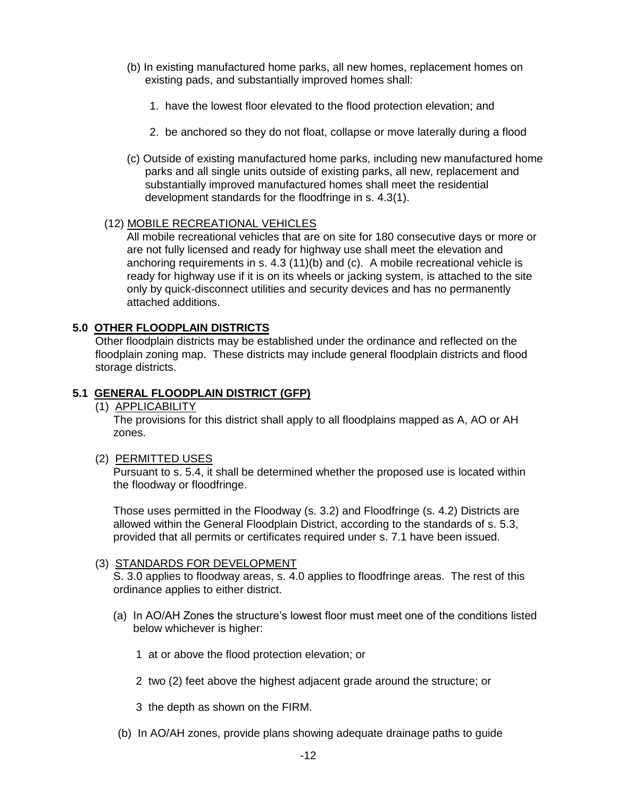- (b) In existing manufactured home parks, all new homes, replacement homes on existing pads, and substantially improved homes shall:
	- 1. have the lowest floor elevated to the flood protection elevation; and
	- 2. be anchored so they do not float, collapse or move laterally during a flood
- (c) Outside of existing manufactured home parks, including new manufactured home parks and all single units outside of existing parks, all new, replacement and substantially improved manufactured homes shall meet the residential development standards for the floodfringe in s. 4.3(1).

### (12) MOBILE RECREATIONAL VEHICLES

All mobile recreational vehicles that are on site for 180 consecutive days or more or are not fully licensed and ready for highway use shall meet the elevation and anchoring requirements in s. 4.3 (11)(b) and (c). A mobile recreational vehicle is ready for highway use if it is on its wheels or jacking system, is attached to the site only by quick-disconnect utilities and security devices and has no permanently attached additions.

#### **5.0 OTHER FLOODPLAIN DISTRICTS**

Other floodplain districts may be established under the ordinance and reflected on the floodplain zoning map. These districts may include general floodplain districts and flood storage districts.

#### **5.1 GENERAL FLOODPLAIN DISTRICT (GFP)**

(1) APPLICABILITY

The provisions for this district shall apply to all floodplains mapped as A, AO or AH zones.

#### (2) PERMITTED USES

Pursuant to s. 5.4, it shall be determined whether the proposed use is located within the floodway or floodfringe.

Those uses permitted in the Floodway (s. 3.2) and Floodfringe (s. 4.2) Districts are allowed within the General Floodplain District, according to the standards of s. 5.3, provided that all permits or certificates required under s. 7.1 have been issued.

#### (3) STANDARDS FOR DEVELOPMENT

S. 3.0 applies to floodway areas, s. 4.0 applies to floodfringe areas. The rest of this ordinance applies to either district.

- (a) In AO/AH Zones the structure's lowest floor must meet one of the conditions listed below whichever is higher:
	- 1 at or above the flood protection elevation; or
	- 2 two (2) feet above the highest adjacent grade around the structure; or
	- 3 the depth as shown on the FIRM.
- (b) In AO/AH zones, provide plans showing adequate drainage paths to guide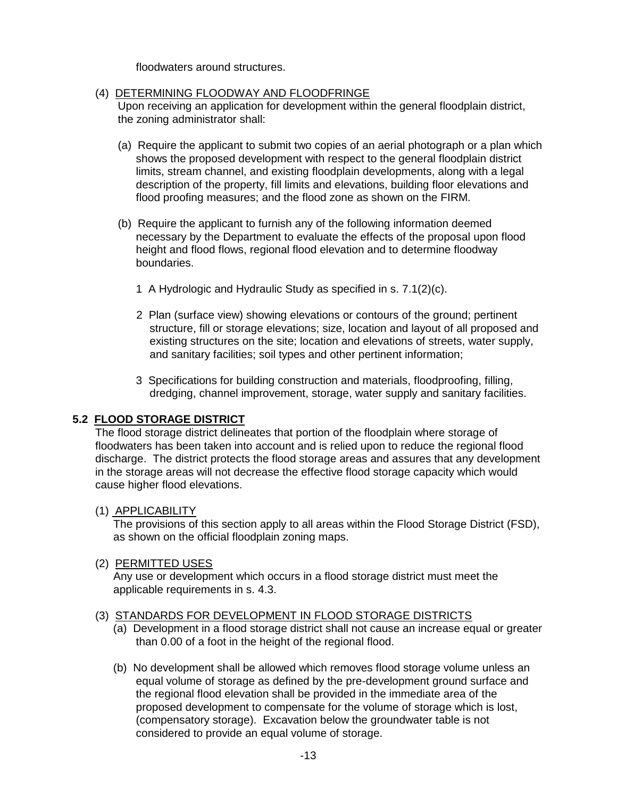floodwaters around structures.

### (4) DETERMINING FLOODWAY AND FLOODFRINGE

Upon receiving an application for development within the general floodplain district, the zoning administrator shall:

- (a) Require the applicant to submit two copies of an aerial photograph or a plan which shows the proposed development with respect to the general floodplain district limits, stream channel, and existing floodplain developments, along with a legal description of the property, fill limits and elevations, building floor elevations and flood proofing measures; and the flood zone as shown on the FIRM.
- (b) Require the applicant to furnish any of the following information deemed necessary by the Department to evaluate the effects of the proposal upon flood height and flood flows, regional flood elevation and to determine floodway boundaries.
	- 1 A Hydrologic and Hydraulic Study as specified in s. 7.1(2)(c).
	- 2 Plan (surface view) showing elevations or contours of the ground; pertinent structure, fill or storage elevations; size, location and layout of all proposed and existing structures on the site; location and elevations of streets, water supply, and sanitary facilities; soil types and other pertinent information;
	- 3 Specifications for building construction and materials, floodproofing, filling, dredging, channel improvement, storage, water supply and sanitary facilities.

### **5.2 FLOOD STORAGE DISTRICT**

The flood storage district delineates that portion of the floodplain where storage of floodwaters has been taken into account and is relied upon to reduce the regional flood discharge. The district protects the flood storage areas and assures that any development in the storage areas will not decrease the effective flood storage capacity which would cause higher flood elevations.

### (1) APPLICABILITY

The provisions of this section apply to all areas within the Flood Storage District (FSD), as shown on the official floodplain zoning maps.

#### (2) PERMITTED USES

Any use or development which occurs in a flood storage district must meet the applicable requirements in s. 4.3.

#### (3) STANDARDS FOR DEVELOPMENT IN FLOOD STORAGE DISTRICTS

- (a) Development in a flood storage district shall not cause an increase equal or greater than 0.00 of a foot in the height of the regional flood.
- (b) No development shall be allowed which removes flood storage volume unless an equal volume of storage as defined by the pre-development ground surface and the regional flood elevation shall be provided in the immediate area of the proposed development to compensate for the volume of storage which is lost, (compensatory storage). Excavation below the groundwater table is not considered to provide an equal volume of storage.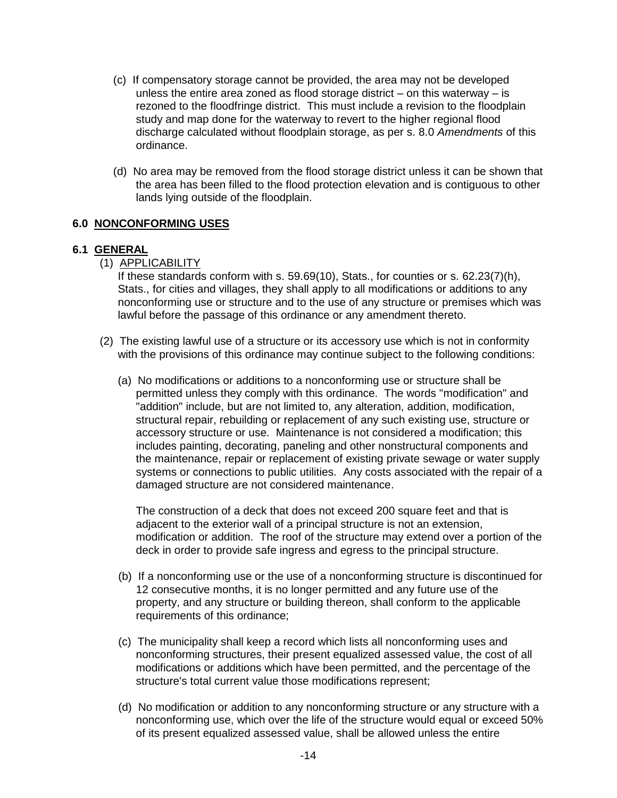- (c) If compensatory storage cannot be provided, the area may not be developed unless the entire area zoned as flood storage district – on this waterway – is rezoned to the floodfringe district. This must include a revision to the floodplain study and map done for the waterway to revert to the higher regional flood discharge calculated without floodplain storage, as per s. 8.0 *Amendments* of this ordinance.
- (d) No area may be removed from the flood storage district unless it can be shown that the area has been filled to the flood protection elevation and is contiguous to other lands lying outside of the floodplain.

### **6.0 NONCONFORMING USES**

### **6.1 GENERAL**

(1) APPLICABILITY

If these standards conform with s. 59.69(10), Stats., for counties or s. 62.23(7)(h), Stats., for cities and villages, they shall apply to all modifications or additions to any nonconforming use or structure and to the use of any structure or premises which was lawful before the passage of this ordinance or any amendment thereto.

- (2) The existing lawful use of a structure or its accessory use which is not in conformity with the provisions of this ordinance may continue subject to the following conditions:
	- (a) No modifications or additions to a nonconforming use or structure shall be permitted unless they comply with this ordinance. The words "modification" and "addition" include, but are not limited to, any alteration, addition, modification, structural repair, rebuilding or replacement of any such existing use, structure or accessory structure or use. Maintenance is not considered a modification; this includes painting, decorating, paneling and other nonstructural components and the maintenance, repair or replacement of existing private sewage or water supply systems or connections to public utilities. Any costs associated with the repair of a damaged structure are not considered maintenance.

The construction of a deck that does not exceed 200 square feet and that is adjacent to the exterior wall of a principal structure is not an extension, modification or addition. The roof of the structure may extend over a portion of the deck in order to provide safe ingress and egress to the principal structure.

- (b) If a nonconforming use or the use of a nonconforming structure is discontinued for 12 consecutive months, it is no longer permitted and any future use of the property, and any structure or building thereon, shall conform to the applicable requirements of this ordinance;
- (c) The municipality shall keep a record which lists all nonconforming uses and nonconforming structures, their present equalized assessed value, the cost of all modifications or additions which have been permitted, and the percentage of the structure's total current value those modifications represent;
- (d) No modification or addition to any nonconforming structure or any structure with a nonconforming use, which over the life of the structure would equal or exceed 50% of its present equalized assessed value, shall be allowed unless the entire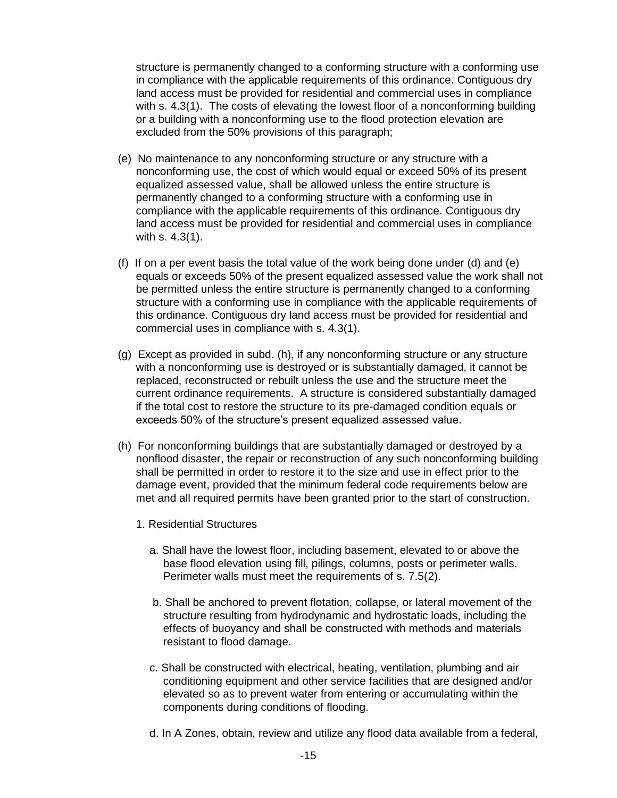structure is permanently changed to a conforming structure with a conforming use in compliance with the applicable requirements of this ordinance. Contiguous dry land access must be provided for residential and commercial uses in compliance with s. 4.3(1). The costs of elevating the lowest floor of a nonconforming building or a building with a nonconforming use to the flood protection elevation are excluded from the 50% provisions of this paragraph;

- (e) No maintenance to any nonconforming structure or any structure with a nonconforming use, the cost of which would equal or exceed 50% of its present equalized assessed value, shall be allowed unless the entire structure is permanently changed to a conforming structure with a conforming use in compliance with the applicable requirements of this ordinance. Contiguous dry land access must be provided for residential and commercial uses in compliance with s. 4.3(1).
- (f) If on a per event basis the total value of the work being done under (d) and (e) equals or exceeds 50% of the present equalized assessed value the work shall not be permitted unless the entire structure is permanently changed to a conforming structure with a conforming use in compliance with the applicable requirements of this ordinance. Contiguous dry land access must be provided for residential and commercial uses in compliance with s. 4.3(1).
- (g) Except as provided in subd. (h), if any nonconforming structure or any structure with a nonconforming use is destroyed or is substantially damaged, it cannot be replaced, reconstructed or rebuilt unless the use and the structure meet the current ordinance requirements. A structure is considered substantially damaged if the total cost to restore the structure to its pre-damaged condition equals or exceeds 50% of the structure's present equalized assessed value.
- (h) For nonconforming buildings that are substantially damaged or destroyed by a nonflood disaster, the repair or reconstruction of any such nonconforming building shall be permitted in order to restore it to the size and use in effect prior to the damage event, provided that the minimum federal code requirements below are met and all required permits have been granted prior to the start of construction.
	- 1. Residential Structures
		- a. Shall have the lowest floor, including basement, elevated to or above the base flood elevation using fill, pilings, columns, posts or perimeter walls. Perimeter walls must meet the requirements of s. 7.5(2).
		- b. Shall be anchored to prevent flotation, collapse, or lateral movement of the structure resulting from hydrodynamic and hydrostatic loads, including the effects of buoyancy and shall be constructed with methods and materials resistant to flood damage.
		- c. Shall be constructed with electrical, heating, ventilation, plumbing and air conditioning equipment and other service facilities that are designed and/or elevated so as to prevent water from entering or accumulating within the components during conditions of flooding.
		- d. In A Zones, obtain, review and utilize any flood data available from a federal,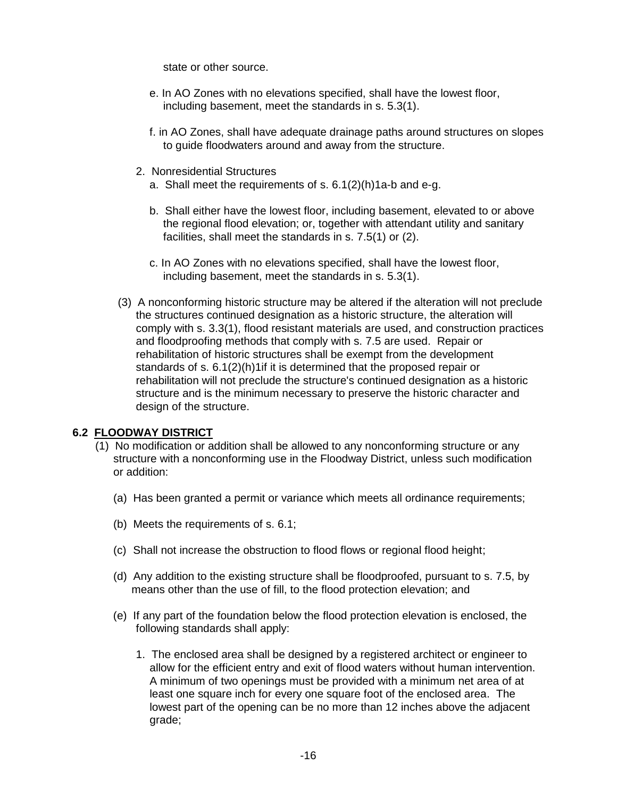state or other source.

- e. In AO Zones with no elevations specified, shall have the lowest floor, including basement, meet the standards in s. 5.3(1).
- f. in AO Zones, shall have adequate drainage paths around structures on slopes to guide floodwaters around and away from the structure.
- 2. Nonresidential Structures
	- a. Shall meet the requirements of s. 6.1(2)(h)1a-b and e-g.
	- b. Shall either have the lowest floor, including basement, elevated to or above the regional flood elevation; or, together with attendant utility and sanitary facilities, shall meet the standards in s. 7.5(1) or (2).
	- c. In AO Zones with no elevations specified, shall have the lowest floor, including basement, meet the standards in s. 5.3(1).
- (3) A nonconforming historic structure may be altered if the alteration will not preclude the structures continued designation as a historic structure, the alteration will comply with s. 3.3(1), flood resistant materials are used, and construction practices and floodproofing methods that comply with s. 7.5 are used. Repair or rehabilitation of historic structures shall be exempt from the development standards of s. 6.1(2)(h)1if it is determined that the proposed repair or rehabilitation will not preclude the structure's continued designation as a historic structure and is the minimum necessary to preserve the historic character and design of the structure.

### **6.2 FLOODWAY DISTRICT**

- (1) No modification or addition shall be allowed to any nonconforming structure or any structure with a nonconforming use in the Floodway District, unless such modification or addition:
	- (a) Has been granted a permit or variance which meets all ordinance requirements;
	- (b) Meets the requirements of s. 6.1;
	- (c) Shall not increase the obstruction to flood flows or regional flood height;
	- (d) Any addition to the existing structure shall be floodproofed, pursuant to s. 7.5, by means other than the use of fill, to the flood protection elevation; and
	- (e) If any part of the foundation below the flood protection elevation is enclosed, the following standards shall apply:
		- 1. The enclosed area shall be designed by a registered architect or engineer to allow for the efficient entry and exit of flood waters without human intervention. A minimum of two openings must be provided with a minimum net area of at least one square inch for every one square foot of the enclosed area. The lowest part of the opening can be no more than 12 inches above the adjacent grade;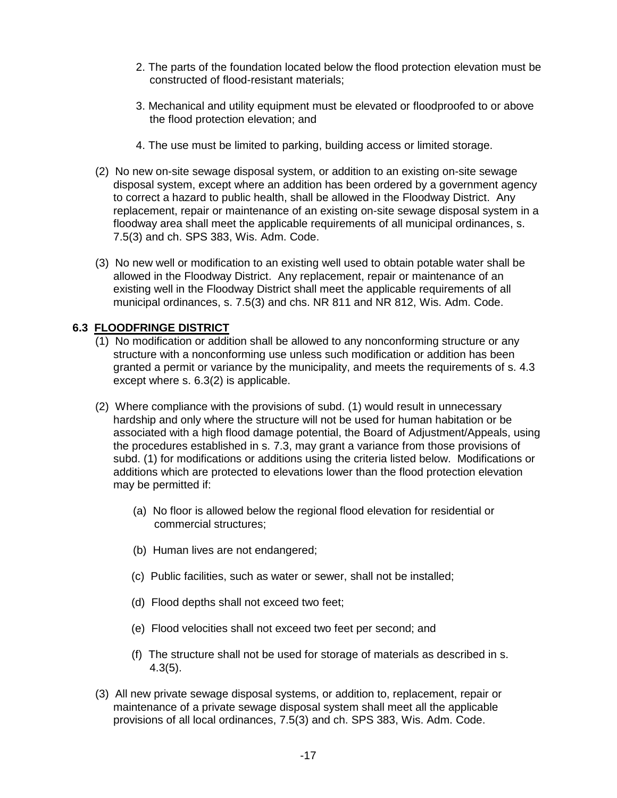- 2. The parts of the foundation located below the flood protection elevation must be constructed of flood-resistant materials;
- 3. Mechanical and utility equipment must be elevated or floodproofed to or above the flood protection elevation; and
- 4. The use must be limited to parking, building access or limited storage.
- (2) No new on-site sewage disposal system, or addition to an existing on-site sewage disposal system, except where an addition has been ordered by a government agency to correct a hazard to public health, shall be allowed in the Floodway District. Any replacement, repair or maintenance of an existing on-site sewage disposal system in a floodway area shall meet the applicable requirements of all municipal ordinances, s. 7.5(3) and ch. SPS 383, Wis. Adm. Code.
- (3) No new well or modification to an existing well used to obtain potable water shall be allowed in the Floodway District. Any replacement, repair or maintenance of an existing well in the Floodway District shall meet the applicable requirements of all municipal ordinances, s. 7.5(3) and chs. NR 811 and NR 812, Wis. Adm. Code.

### **6.3 FLOODFRINGE DISTRICT**

- (1) No modification or addition shall be allowed to any nonconforming structure or any structure with a nonconforming use unless such modification or addition has been granted a permit or variance by the municipality, and meets the requirements of s. 4.3 except where s. 6.3(2) is applicable.
- (2) Where compliance with the provisions of subd. (1) would result in unnecessary hardship and only where the structure will not be used for human habitation or be associated with a high flood damage potential, the Board of Adjustment/Appeals, using the procedures established in s. 7.3, may grant a variance from those provisions of subd. (1) for modifications or additions using the criteria listed below. Modifications or additions which are protected to elevations lower than the flood protection elevation may be permitted if:
	- (a) No floor is allowed below the regional flood elevation for residential or commercial structures;
	- (b) Human lives are not endangered;
	- (c) Public facilities, such as water or sewer, shall not be installed;
	- (d) Flood depths shall not exceed two feet;
	- (e) Flood velocities shall not exceed two feet per second; and
	- (f) The structure shall not be used for storage of materials as described in s. 4.3(5).
- (3) All new private sewage disposal systems, or addition to, replacement, repair or maintenance of a private sewage disposal system shall meet all the applicable provisions of all local ordinances, 7.5(3) and ch. SPS 383, Wis. Adm. Code.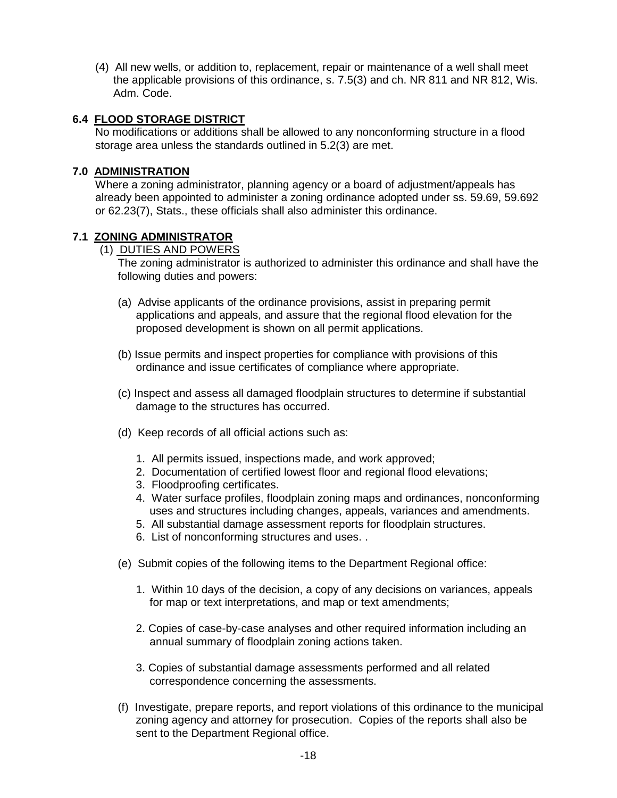(4) All new wells, or addition to, replacement, repair or maintenance of a well shall meet the applicable provisions of this ordinance, s. 7.5(3) and ch. NR 811 and NR 812, Wis. Adm. Code.

### **6.4 FLOOD STORAGE DISTRICT**

No modifications or additions shall be allowed to any nonconforming structure in a flood storage area unless the standards outlined in 5.2(3) are met.

### **7.0 ADMINISTRATION**

Where a zoning administrator, planning agency or a board of adjustment/appeals has already been appointed to administer a zoning ordinance adopted under ss. 59.69, 59.692 or 62.23(7), Stats., these officials shall also administer this ordinance.

### **7.1 ZONING ADMINISTRATOR**

### (1) DUTIES AND POWERS

The zoning administrator is authorized to administer this ordinance and shall have the following duties and powers:

- (a) Advise applicants of the ordinance provisions, assist in preparing permit applications and appeals, and assure that the regional flood elevation for the proposed development is shown on all permit applications.
- (b) Issue permits and inspect properties for compliance with provisions of this ordinance and issue certificates of compliance where appropriate.
- (c) Inspect and assess all damaged floodplain structures to determine if substantial damage to the structures has occurred.
- (d) Keep records of all official actions such as:
	- 1. All permits issued, inspections made, and work approved;
	- 2. Documentation of certified lowest floor and regional flood elevations;
	- 3. Floodproofing certificates.
	- 4. Water surface profiles, floodplain zoning maps and ordinances, nonconforming uses and structures including changes, appeals, variances and amendments.
	- 5. All substantial damage assessment reports for floodplain structures.
	- 6. List of nonconforming structures and uses. .
- (e) Submit copies of the following items to the Department Regional office:
	- 1. Within 10 days of the decision, a copy of any decisions on variances, appeals for map or text interpretations, and map or text amendments;
	- 2. Copies of case-by-case analyses and other required information including an annual summary of floodplain zoning actions taken.
	- 3. Copies of substantial damage assessments performed and all related correspondence concerning the assessments.
- (f) Investigate, prepare reports, and report violations of this ordinance to the municipal zoning agency and attorney for prosecution. Copies of the reports shall also be sent to the Department Regional office.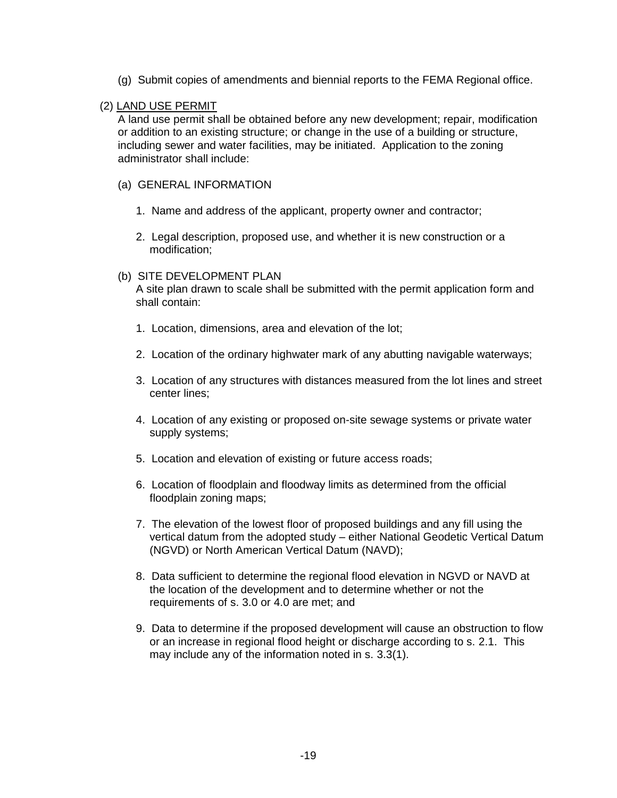(g) Submit copies of amendments and biennial reports to the FEMA Regional office.

### (2) LAND USE PERMIT

A land use permit shall be obtained before any new development; repair, modification or addition to an existing structure; or change in the use of a building or structure, including sewer and water facilities, may be initiated. Application to the zoning administrator shall include:

### (a) GENERAL INFORMATION

- 1. Name and address of the applicant, property owner and contractor;
- 2. Legal description, proposed use, and whether it is new construction or a modification;

#### (b) SITE DEVELOPMENT PLAN

A site plan drawn to scale shall be submitted with the permit application form and shall contain:

- 1. Location, dimensions, area and elevation of the lot;
- 2. Location of the ordinary highwater mark of any abutting navigable waterways;
- 3. Location of any structures with distances measured from the lot lines and street center lines;
- 4. Location of any existing or proposed on-site sewage systems or private water supply systems;
- 5. Location and elevation of existing or future access roads;
- 6. Location of floodplain and floodway limits as determined from the official floodplain zoning maps;
- 7. The elevation of the lowest floor of proposed buildings and any fill using the vertical datum from the adopted study – either National Geodetic Vertical Datum (NGVD) or North American Vertical Datum (NAVD);
- 8. Data sufficient to determine the regional flood elevation in NGVD or NAVD at the location of the development and to determine whether or not the requirements of s. 3.0 or 4.0 are met; and
- 9. Data to determine if the proposed development will cause an obstruction to flow or an increase in regional flood height or discharge according to s. 2.1. This may include any of the information noted in s. 3.3(1).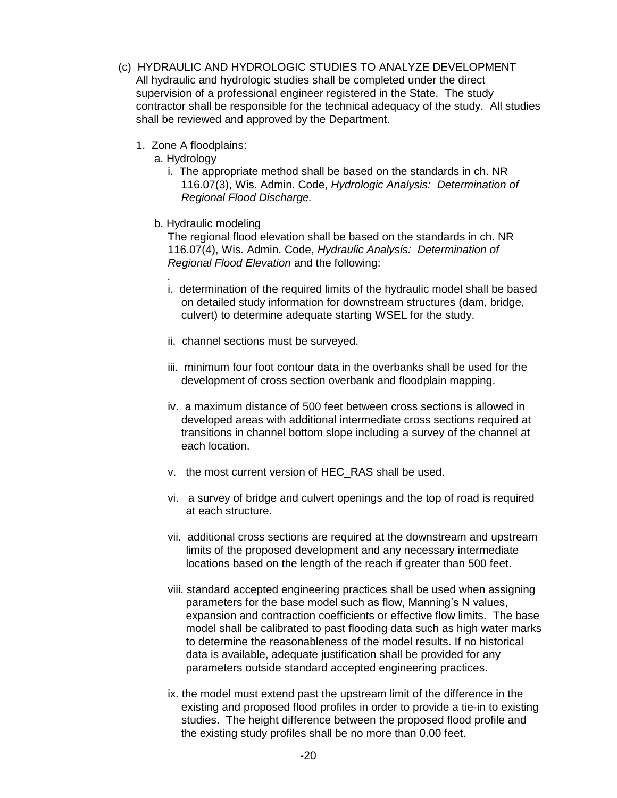- (c) HYDRAULIC AND HYDROLOGIC STUDIES TO ANALYZE DEVELOPMENT All hydraulic and hydrologic studies shall be completed under the direct supervision of a professional engineer registered in the State. The study contractor shall be responsible for the technical adequacy of the study. All studies shall be reviewed and approved by the Department.
	- 1. Zone A floodplains:
		- a. Hydrology

*.*

- i. The appropriate method shall be based on the standards in ch. NR 116.07(3), Wis. Admin. Code, *Hydrologic Analysis: Determination of Regional Flood Discharge.*
- b. Hydraulic modeling

The regional flood elevation shall be based on the standards in ch. NR 116.07(4), Wis. Admin. Code, *Hydraulic Analysis: Determination of Regional Flood Elevation* and the following:

- i. determination of the required limits of the hydraulic model shall be based on detailed study information for downstream structures (dam, bridge, culvert) to determine adequate starting WSEL for the study.
- ii. channel sections must be surveyed.
- iii. minimum four foot contour data in the overbanks shall be used for the development of cross section overbank and floodplain mapping.
- iv. a maximum distance of 500 feet between cross sections is allowed in developed areas with additional intermediate cross sections required at transitions in channel bottom slope including a survey of the channel at each location.
- v. the most current version of HEC\_RAS shall be used.
- vi. a survey of bridge and culvert openings and the top of road is required at each structure.
- vii. additional cross sections are required at the downstream and upstream limits of the proposed development and any necessary intermediate locations based on the length of the reach if greater than 500 feet.
- viii. standard accepted engineering practices shall be used when assigning parameters for the base model such as flow, Manning's N values, expansion and contraction coefficients or effective flow limits. The base model shall be calibrated to past flooding data such as high water marks to determine the reasonableness of the model results. If no historical data is available, adequate justification shall be provided for any parameters outside standard accepted engineering practices.
- ix. the model must extend past the upstream limit of the difference in the existing and proposed flood profiles in order to provide a tie-in to existing studies. The height difference between the proposed flood profile and the existing study profiles shall be no more than 0.00 feet.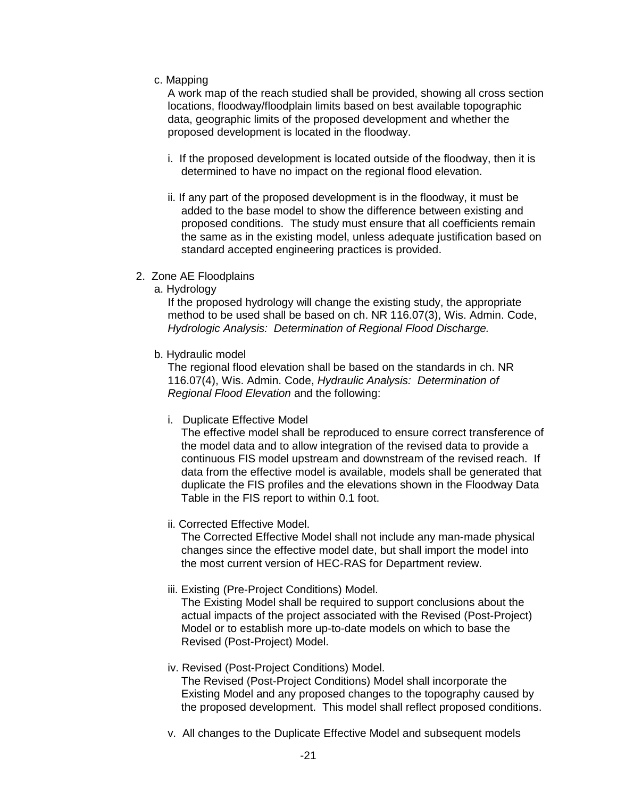c. Mapping

A work map of the reach studied shall be provided, showing all cross section locations, floodway/floodplain limits based on best available topographic data, geographic limits of the proposed development and whether the proposed development is located in the floodway.

- i. If the proposed development is located outside of the floodway, then it is determined to have no impact on the regional flood elevation.
- ii. If any part of the proposed development is in the floodway, it must be added to the base model to show the difference between existing and proposed conditions. The study must ensure that all coefficients remain the same as in the existing model, unless adequate justification based on standard accepted engineering practices is provided.
- 2. Zone AE Floodplains
	- a. Hydrology

If the proposed hydrology will change the existing study, the appropriate method to be used shall be based on ch. NR 116.07(3), Wis. Admin. Code, *Hydrologic Analysis: Determination of Regional Flood Discharge.*

b. Hydraulic model

The regional flood elevation shall be based on the standards in ch. NR 116.07(4), Wis. Admin. Code, *Hydraulic Analysis: Determination of Regional Flood Elevation* and the following:

i. Duplicate Effective Model

The effective model shall be reproduced to ensure correct transference of the model data and to allow integration of the revised data to provide a continuous FIS model upstream and downstream of the revised reach. If data from the effective model is available, models shall be generated that duplicate the FIS profiles and the elevations shown in the Floodway Data Table in the FIS report to within 0.1 foot.

ii. Corrected Effective Model.

The Corrected Effective Model shall not include any man-made physical changes since the effective model date, but shall import the model into the most current version of HEC-RAS for Department review.

iii. Existing (Pre-Project Conditions) Model.

The Existing Model shall be required to support conclusions about the actual impacts of the project associated with the Revised (Post-Project) Model or to establish more up-to-date models on which to base the Revised (Post-Project) Model.

- iv. Revised (Post-Project Conditions) Model. The Revised (Post-Project Conditions) Model shall incorporate the Existing Model and any proposed changes to the topography caused by the proposed development. This model shall reflect proposed conditions.
- v. All changes to the Duplicate Effective Model and subsequent models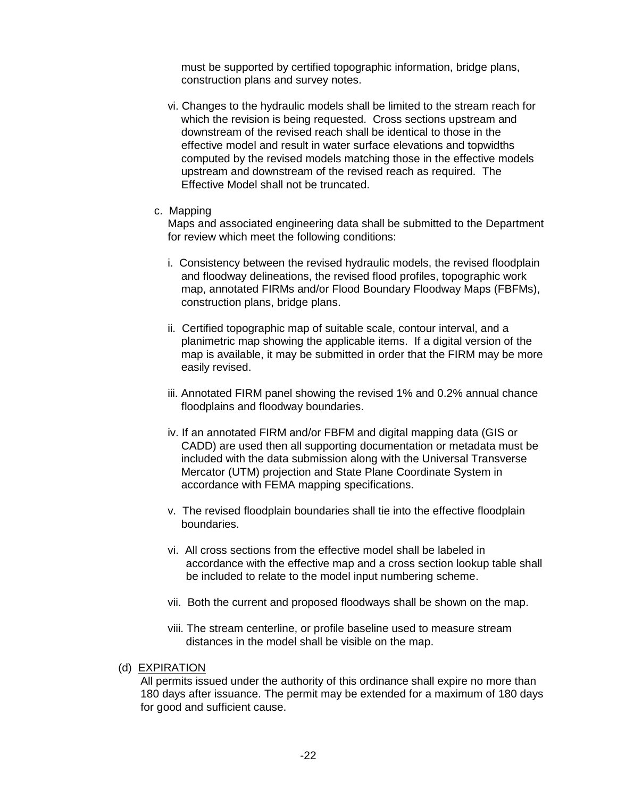must be supported by certified topographic information, bridge plans, construction plans and survey notes.

- vi. Changes to the hydraulic models shall be limited to the stream reach for which the revision is being requested. Cross sections upstream and downstream of the revised reach shall be identical to those in the effective model and result in water surface elevations and topwidths computed by the revised models matching those in the effective models upstream and downstream of the revised reach as required. The Effective Model shall not be truncated.
- c. Mapping

Maps and associated engineering data shall be submitted to the Department for review which meet the following conditions:

- i. Consistency between the revised hydraulic models, the revised floodplain and floodway delineations, the revised flood profiles, topographic work map, annotated FIRMs and/or Flood Boundary Floodway Maps (FBFMs), construction plans, bridge plans.
- ii. Certified topographic map of suitable scale, contour interval, and a planimetric map showing the applicable items. If a digital version of the map is available, it may be submitted in order that the FIRM may be more easily revised.
- iii. Annotated FIRM panel showing the revised 1% and 0.2% annual chance floodplains and floodway boundaries.
- iv. If an annotated FIRM and/or FBFM and digital mapping data (GIS or CADD) are used then all supporting documentation or metadata must be included with the data submission along with the Universal Transverse Mercator (UTM) projection and State Plane Coordinate System in accordance with FEMA mapping specifications.
- v. The revised floodplain boundaries shall tie into the effective floodplain boundaries.
- vi. All cross sections from the effective model shall be labeled in accordance with the effective map and a cross section lookup table shall be included to relate to the model input numbering scheme.
- vii. Both the current and proposed floodways shall be shown on the map.
- viii. The stream centerline, or profile baseline used to measure stream distances in the model shall be visible on the map.
- (d) EXPIRATION

All permits issued under the authority of this ordinance shall expire no more than 180 days after issuance. The permit may be extended for a maximum of 180 days for good and sufficient cause.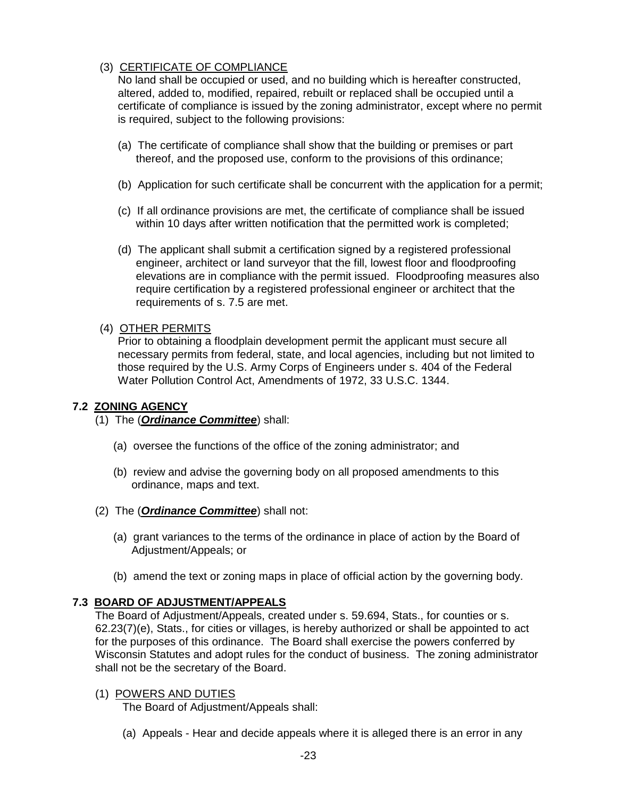### (3) CERTIFICATE OF COMPLIANCE

No land shall be occupied or used, and no building which is hereafter constructed, altered, added to, modified, repaired, rebuilt or replaced shall be occupied until a certificate of compliance is issued by the zoning administrator, except where no permit is required, subject to the following provisions:

- (a) The certificate of compliance shall show that the building or premises or part thereof, and the proposed use, conform to the provisions of this ordinance;
- (b) Application for such certificate shall be concurrent with the application for a permit;
- (c) If all ordinance provisions are met, the certificate of compliance shall be issued within 10 days after written notification that the permitted work is completed;
- (d) The applicant shall submit a certification signed by a registered professional engineer, architect or land surveyor that the fill, lowest floor and floodproofing elevations are in compliance with the permit issued. Floodproofing measures also require certification by a registered professional engineer or architect that the requirements of s. 7.5 are met.

### (4) OTHER PERMITS

Prior to obtaining a floodplain development permit the applicant must secure all necessary permits from federal, state, and local agencies, including but not limited to those required by the U.S. Army Corps of Engineers under s. 404 of the Federal Water Pollution Control Act, Amendments of 1972, 33 U.S.C. 1344.

### **7.2 ZONING AGENCY**

- (1) The (*Ordinance Committee*) shall:
	- (a) oversee the functions of the office of the zoning administrator; and
	- (b) review and advise the governing body on all proposed amendments to this ordinance, maps and text.
- (2) The (*Ordinance Committee*) shall not:
	- (a) grant variances to the terms of the ordinance in place of action by the Board of Adjustment/Appeals; or
	- (b) amend the text or zoning maps in place of official action by the governing body.

### **7.3 BOARD OF ADJUSTMENT/APPEALS**

The Board of Adjustment/Appeals, created under s. 59.694, Stats., for counties or s. 62.23(7)(e), Stats., for cities or villages, is hereby authorized or shall be appointed to act for the purposes of this ordinance. The Board shall exercise the powers conferred by Wisconsin Statutes and adopt rules for the conduct of business. The zoning administrator shall not be the secretary of the Board.

### (1) POWERS AND DUTIES

The Board of Adjustment/Appeals shall:

(a) Appeals - Hear and decide appeals where it is alleged there is an error in any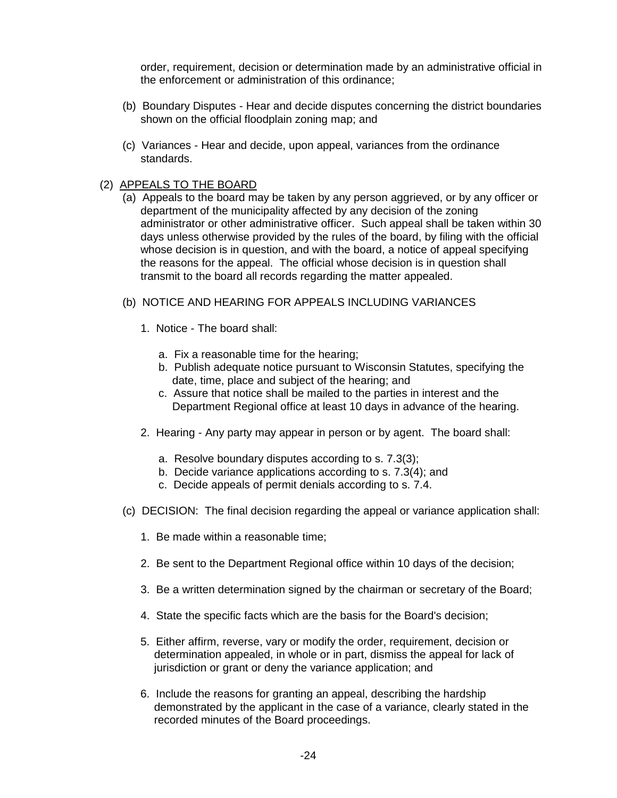order, requirement, decision or determination made by an administrative official in the enforcement or administration of this ordinance;

- (b) Boundary Disputes Hear and decide disputes concerning the district boundaries shown on the official floodplain zoning map; and
- (c) Variances Hear and decide, upon appeal, variances from the ordinance standards.

### (2) APPEALS TO THE BOARD

- (a) Appeals to the board may be taken by any person aggrieved, or by any officer or department of the municipality affected by any decision of the zoning administrator or other administrative officer. Such appeal shall be taken within 30 days unless otherwise provided by the rules of the board, by filing with the official whose decision is in question, and with the board, a notice of appeal specifying the reasons for the appeal. The official whose decision is in question shall transmit to the board all records regarding the matter appealed.
- (b) NOTICE AND HEARING FOR APPEALS INCLUDING VARIANCES
	- 1. Notice The board shall:
		- a. Fix a reasonable time for the hearing;
		- b. Publish adequate notice pursuant to Wisconsin Statutes, specifying the date, time, place and subject of the hearing; and
		- c. Assure that notice shall be mailed to the parties in interest and the Department Regional office at least 10 days in advance of the hearing.
	- 2. Hearing Any party may appear in person or by agent. The board shall:
		- a. Resolve boundary disputes according to s. 7.3(3);
		- b. Decide variance applications according to s. 7.3(4); and
		- c. Decide appeals of permit denials according to s. 7.4.
- (c) DECISION: The final decision regarding the appeal or variance application shall:
	- 1. Be made within a reasonable time;
	- 2. Be sent to the Department Regional office within 10 days of the decision;
	- 3. Be a written determination signed by the chairman or secretary of the Board;
	- 4. State the specific facts which are the basis for the Board's decision;
	- 5. Either affirm, reverse, vary or modify the order, requirement, decision or determination appealed, in whole or in part, dismiss the appeal for lack of jurisdiction or grant or deny the variance application; and
	- 6. Include the reasons for granting an appeal, describing the hardship demonstrated by the applicant in the case of a variance, clearly stated in the recorded minutes of the Board proceedings.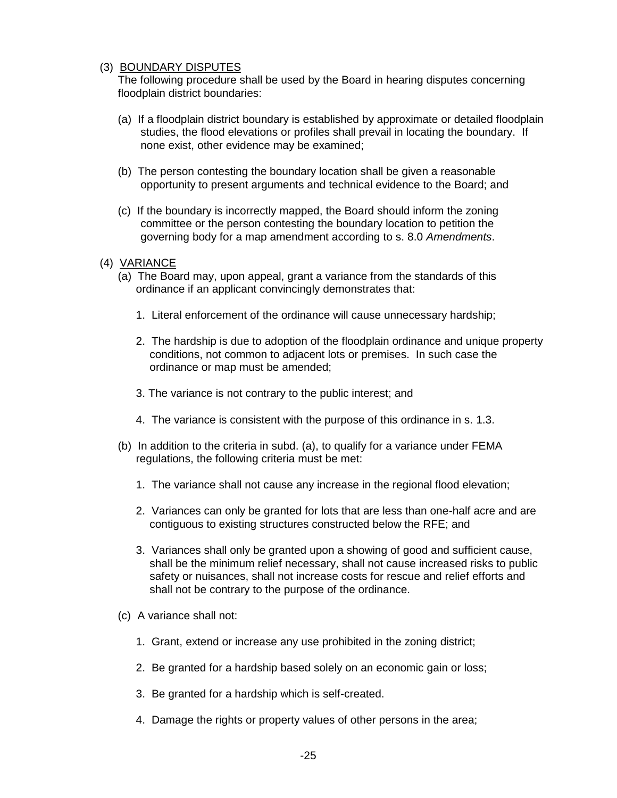### (3) BOUNDARY DISPUTES

The following procedure shall be used by the Board in hearing disputes concerning floodplain district boundaries:

- (a) If a floodplain district boundary is established by approximate or detailed floodplain studies, the flood elevations or profiles shall prevail in locating the boundary. If none exist, other evidence may be examined;
- (b) The person contesting the boundary location shall be given a reasonable opportunity to present arguments and technical evidence to the Board; and
- (c) If the boundary is incorrectly mapped, the Board should inform the zoning committee or the person contesting the boundary location to petition the governing body for a map amendment according to s. 8.0 *Amendments*.
- (4) VARIANCE
	- (a) The Board may, upon appeal, grant a variance from the standards of this ordinance if an applicant convincingly demonstrates that:
		- 1. Literal enforcement of the ordinance will cause unnecessary hardship;
		- 2. The hardship is due to adoption of the floodplain ordinance and unique property conditions, not common to adjacent lots or premises. In such case the ordinance or map must be amended;
		- 3. The variance is not contrary to the public interest; and
		- 4. The variance is consistent with the purpose of this ordinance in s. 1.3.
	- (b) In addition to the criteria in subd. (a), to qualify for a variance under FEMA regulations, the following criteria must be met:
		- 1. The variance shall not cause any increase in the regional flood elevation;
		- 2. Variances can only be granted for lots that are less than one-half acre and are contiguous to existing structures constructed below the RFE; and
		- 3. Variances shall only be granted upon a showing of good and sufficient cause, shall be the minimum relief necessary, shall not cause increased risks to public safety or nuisances, shall not increase costs for rescue and relief efforts and shall not be contrary to the purpose of the ordinance.
	- (c) A variance shall not:
		- 1. Grant, extend or increase any use prohibited in the zoning district;
		- 2. Be granted for a hardship based solely on an economic gain or loss;
		- 3. Be granted for a hardship which is self-created.
		- 4. Damage the rights or property values of other persons in the area;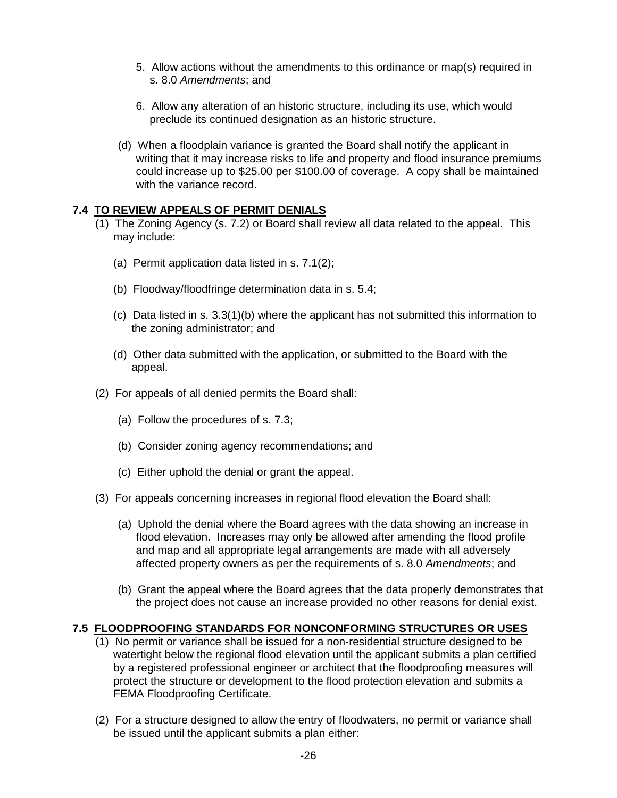- 5. Allow actions without the amendments to this ordinance or map(s) required in s. 8.0 *Amendments*; and
- 6. Allow any alteration of an historic structure, including its use, which would preclude its continued designation as an historic structure.
- (d) When a floodplain variance is granted the Board shall notify the applicant in writing that it may increase risks to life and property and flood insurance premiums could increase up to \$25.00 per \$100.00 of coverage. A copy shall be maintained with the variance record.

### **7.4 TO REVIEW APPEALS OF PERMIT DENIALS**

- (1) The Zoning Agency (s. 7.2) or Board shall review all data related to the appeal. This may include:
	- (a) Permit application data listed in s. 7.1(2);
	- (b) Floodway/floodfringe determination data in s. 5.4;
	- (c) Data listed in s. 3.3(1)(b) where the applicant has not submitted this information to the zoning administrator; and
	- (d) Other data submitted with the application, or submitted to the Board with the appeal.
- (2) For appeals of all denied permits the Board shall:
	- (a) Follow the procedures of s. 7.3;
	- (b) Consider zoning agency recommendations; and
	- (c) Either uphold the denial or grant the appeal.
- (3) For appeals concerning increases in regional flood elevation the Board shall:
	- (a) Uphold the denial where the Board agrees with the data showing an increase in flood elevation. Increases may only be allowed after amending the flood profile and map and all appropriate legal arrangements are made with all adversely affected property owners as per the requirements of s. 8.0 *Amendments*; and
	- (b) Grant the appeal where the Board agrees that the data properly demonstrates that the project does not cause an increase provided no other reasons for denial exist.

#### **7.5 FLOODPROOFING STANDARDS FOR NONCONFORMING STRUCTURES OR USES**

- (1) No permit or variance shall be issued for a non-residential structure designed to be watertight below the regional flood elevation until the applicant submits a plan certified by a registered professional engineer or architect that the floodproofing measures will protect the structure or development to the flood protection elevation and submits a FEMA Floodproofing Certificate.
- (2) For a structure designed to allow the entry of floodwaters, no permit or variance shall be issued until the applicant submits a plan either: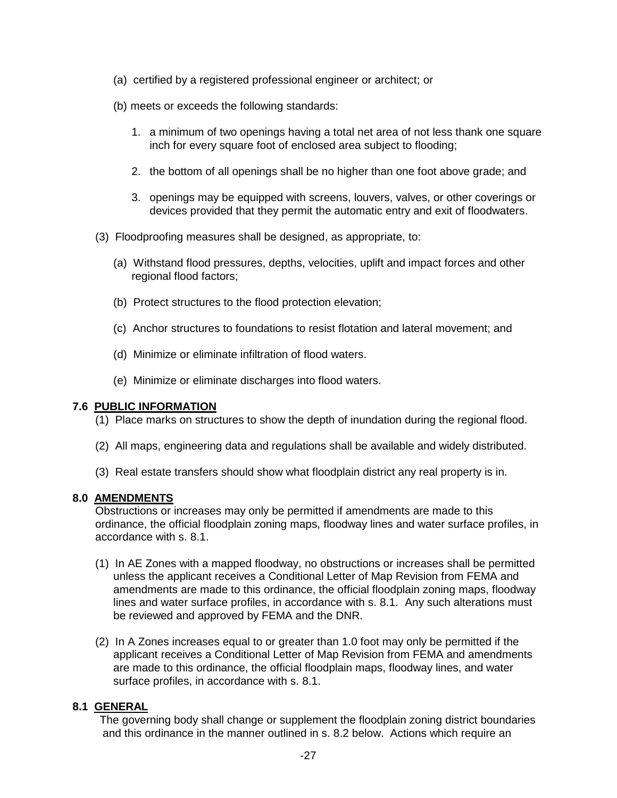- (a) certified by a registered professional engineer or architect; or
- (b) meets or exceeds the following standards:
	- 1. a minimum of two openings having a total net area of not less thank one square inch for every square foot of enclosed area subject to flooding;
	- 2. the bottom of all openings shall be no higher than one foot above grade; and
	- 3. openings may be equipped with screens, louvers, valves, or other coverings or devices provided that they permit the automatic entry and exit of floodwaters.
- (3) Floodproofing measures shall be designed, as appropriate, to:
	- (a) Withstand flood pressures, depths, velocities, uplift and impact forces and other regional flood factors;
	- (b) Protect structures to the flood protection elevation;
	- (c) Anchor structures to foundations to resist flotation and lateral movement; and
	- (d) Minimize or eliminate infiltration of flood waters.
	- (e) Minimize or eliminate discharges into flood waters.

#### **7.6 PUBLIC INFORMATION**

- (1) Place marks on structures to show the depth of inundation during the regional flood.
- (2) All maps, engineering data and regulations shall be available and widely distributed.
- (3) Real estate transfers should show what floodplain district any real property is in.

#### **8.0 AMENDMENTS**

Obstructions or increases may only be permitted if amendments are made to this ordinance, the official floodplain zoning maps, floodway lines and water surface profiles, in accordance with s. 8.1.

- (1) In AE Zones with a mapped floodway, no obstructions or increases shall be permitted unless the applicant receives a Conditional Letter of Map Revision from FEMA and amendments are made to this ordinance, the official floodplain zoning maps, floodway lines and water surface profiles, in accordance with s. 8.1. Any such alterations must be reviewed and approved by FEMA and the DNR.
- (2) In A Zones increases equal to or greater than 1.0 foot may only be permitted if the applicant receives a Conditional Letter of Map Revision from FEMA and amendments are made to this ordinance, the official floodplain maps, floodway lines, and water surface profiles, in accordance with s. 8.1.

### **8.1 GENERAL**

The governing body shall change or supplement the floodplain zoning district boundaries and this ordinance in the manner outlined in s. 8.2 below. Actions which require an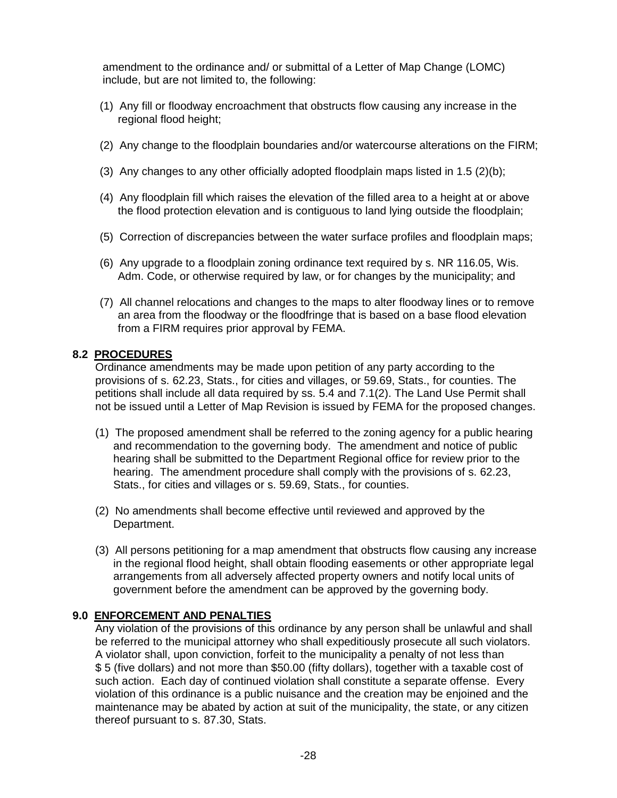amendment to the ordinance and/ or submittal of a Letter of Map Change (LOMC) include, but are not limited to, the following:

- (1) Any fill or floodway encroachment that obstructs flow causing any increase in the regional flood height;
- (2) Any change to the floodplain boundaries and/or watercourse alterations on the FIRM;
- (3) Any changes to any other officially adopted floodplain maps listed in 1.5 (2)(b);
- (4) Any floodplain fill which raises the elevation of the filled area to a height at or above the flood protection elevation and is contiguous to land lying outside the floodplain;
- (5) Correction of discrepancies between the water surface profiles and floodplain maps;
- (6) Any upgrade to a floodplain zoning ordinance text required by s. NR 116.05, Wis. Adm. Code, or otherwise required by law, or for changes by the municipality; and
- (7) All channel relocations and changes to the maps to alter floodway lines or to remove an area from the floodway or the floodfringe that is based on a base flood elevation from a FIRM requires prior approval by FEMA.

### **8.2 PROCEDURES**

Ordinance amendments may be made upon petition of any party according to the provisions of s. 62.23, Stats., for cities and villages, or 59.69, Stats., for counties. The petitions shall include all data required by ss. 5.4 and 7.1(2). The Land Use Permit shall not be issued until a Letter of Map Revision is issued by FEMA for the proposed changes.

- (1) The proposed amendment shall be referred to the zoning agency for a public hearing and recommendation to the governing body. The amendment and notice of public hearing shall be submitted to the Department Regional office for review prior to the hearing. The amendment procedure shall comply with the provisions of s. 62.23, Stats., for cities and villages or s. 59.69, Stats., for counties.
- (2) No amendments shall become effective until reviewed and approved by the Department.
- (3) All persons petitioning for a map amendment that obstructs flow causing any increase in the regional flood height, shall obtain flooding easements or other appropriate legal arrangements from all adversely affected property owners and notify local units of government before the amendment can be approved by the governing body.

### **9.0 ENFORCEMENT AND PENALTIES**

Any violation of the provisions of this ordinance by any person shall be unlawful and shall be referred to the municipal attorney who shall expeditiously prosecute all such violators. A violator shall, upon conviction, forfeit to the municipality a penalty of not less than \$ 5 (five dollars) and not more than \$50.00 (fifty dollars), together with a taxable cost of such action. Each day of continued violation shall constitute a separate offense. Every violation of this ordinance is a public nuisance and the creation may be enjoined and the maintenance may be abated by action at suit of the municipality, the state, or any citizen thereof pursuant to s. 87.30, Stats.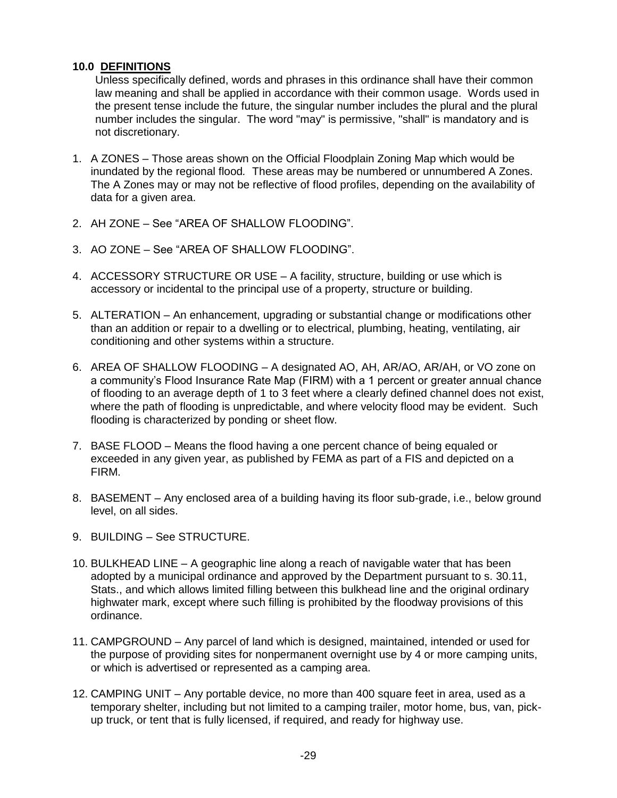### **10.0 DEFINITIONS**

Unless specifically defined, words and phrases in this ordinance shall have their common law meaning and shall be applied in accordance with their common usage. Words used in the present tense include the future, the singular number includes the plural and the plural number includes the singular. The word "may" is permissive, "shall" is mandatory and is not discretionary.

- 1. A ZONES Those areas shown on the Official Floodplain Zoning Map which would be inundated by the regional flood*.* These areas may be numbered or unnumbered A Zones. The A Zones may or may not be reflective of flood profiles, depending on the availability of data for a given area.
- 2. AH ZONE See "AREA OF SHALLOW FLOODING".
- 3. AO ZONE See "AREA OF SHALLOW FLOODING".
- 4. ACCESSORY STRUCTURE OR USE A facility, structure, building or use which is accessory or incidental to the principal use of a property, structure or building.
- 5. ALTERATION An enhancement, upgrading or substantial change or modifications other than an addition or repair to a dwelling or to electrical, plumbing, heating, ventilating, air conditioning and other systems within a structure.
- 6. AREA OF SHALLOW FLOODING A designated AO, AH, AR/AO, AR/AH, or VO zone on a community's Flood Insurance Rate Map (FIRM) with a 1 percent or greater annual chance of flooding to an average depth of 1 to 3 feet where a clearly defined channel does not exist, where the path of flooding is unpredictable, and where velocity flood may be evident. Such flooding is characterized by ponding or sheet flow.
- 7. BASE FLOOD Means the flood having a one percent chance of being equaled or exceeded in any given year, as published by FEMA as part of a FIS and depicted on a FIRM.
- 8. BASEMENT Any enclosed area of a building having its floor sub-grade, i.e., below ground level, on all sides.
- 9. BUILDING See STRUCTURE.
- 10. BULKHEAD LINE A geographic line along a reach of navigable water that has been adopted by a municipal ordinance and approved by the Department pursuant to s. 30.11, Stats., and which allows limited filling between this bulkhead line and the original ordinary highwater mark, except where such filling is prohibited by the floodway provisions of this ordinance.
- 11. CAMPGROUND Any parcel of land which is designed, maintained, intended or used for the purpose of providing sites for nonpermanent overnight use by 4 or more camping units, or which is advertised or represented as a camping area.
- 12. CAMPING UNIT Any portable device, no more than 400 square feet in area, used as a temporary shelter, including but not limited to a camping trailer, motor home, bus, van, pickup truck, or tent that is fully licensed, if required, and ready for highway use.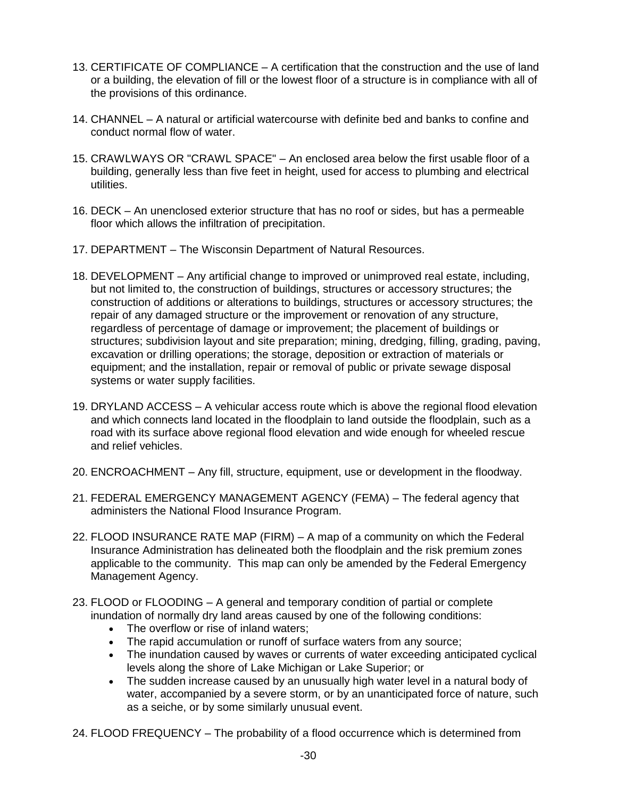- 13. CERTIFICATE OF COMPLIANCE A certification that the construction and the use of land or a building, the elevation of fill or the lowest floor of a structure is in compliance with all of the provisions of this ordinance.
- 14. CHANNEL A natural or artificial watercourse with definite bed and banks to confine and conduct normal flow of water.
- 15. CRAWLWAYS OR "CRAWL SPACE" An enclosed area below the first usable floor of a building, generally less than five feet in height, used for access to plumbing and electrical utilities.
- 16. DECK An unenclosed exterior structure that has no roof or sides, but has a permeable floor which allows the infiltration of precipitation.
- 17. DEPARTMENT The Wisconsin Department of Natural Resources.
- 18. DEVELOPMENT Any artificial change to improved or unimproved real estate, including, but not limited to, the construction of buildings, structures or accessory structures; the construction of additions or alterations to buildings, structures or accessory structures; the repair of any damaged structure or the improvement or renovation of any structure, regardless of percentage of damage or improvement; the placement of buildings or structures; subdivision layout and site preparation; mining, dredging, filling, grading, paving, excavation or drilling operations; the storage, deposition or extraction of materials or equipment; and the installation, repair or removal of public or private sewage disposal systems or water supply facilities.
- 19. DRYLAND ACCESS A vehicular access route which is above the regional flood elevation and which connects land located in the floodplain to land outside the floodplain, such as a road with its surface above regional flood elevation and wide enough for wheeled rescue and relief vehicles.
- 20. ENCROACHMENT Any fill, structure, equipment, use or development in the floodway.
- 21. FEDERAL EMERGENCY MANAGEMENT AGENCY (FEMA) The federal agency that administers the National Flood Insurance Program.
- 22. FLOOD INSURANCE RATE MAP (FIRM) A map of a community on which the Federal Insurance Administration has delineated both the floodplain and the risk premium zones applicable to the community. This map can only be amended by the Federal Emergency Management Agency.
- 23. FLOOD or FLOODING A general and temporary condition of partial or complete inundation of normally dry land areas caused by one of the following conditions:
	- The overflow or rise of inland waters:
	- The rapid accumulation or runoff of surface waters from any source;
	- The inundation caused by waves or currents of water exceeding anticipated cyclical levels along the shore of Lake Michigan or Lake Superior; or
	- The sudden increase caused by an unusually high water level in a natural body of water, accompanied by a severe storm, or by an unanticipated force of nature, such as a seiche, or by some similarly unusual event.
- 24. FLOOD FREQUENCY The probability of a flood occurrence which is determined from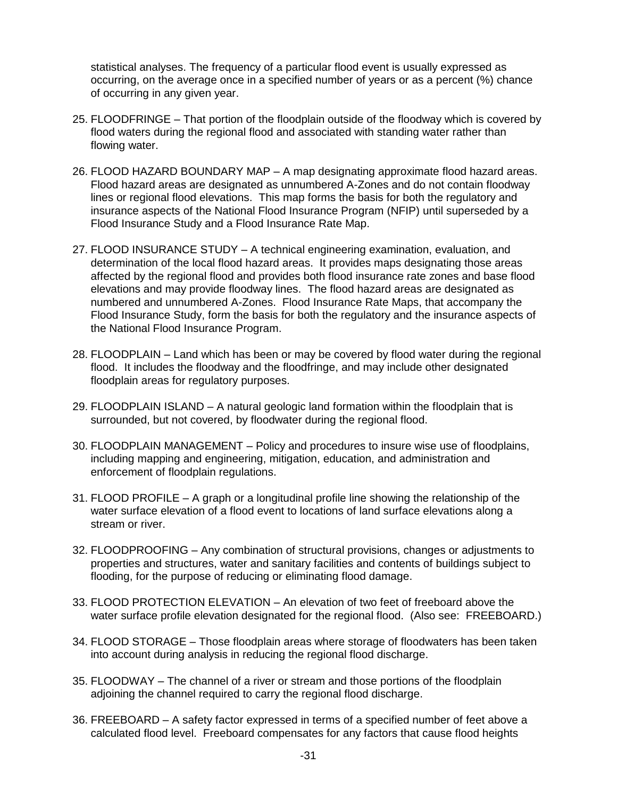statistical analyses. The frequency of a particular flood event is usually expressed as occurring, on the average once in a specified number of years or as a percent (%) chance of occurring in any given year.

- 25. FLOODFRINGE That portion of the floodplain outside of the floodway which is covered by flood waters during the regional flood and associated with standing water rather than flowing water.
- 26. FLOOD HAZARD BOUNDARY MAP A map designating approximate flood hazard areas. Flood hazard areas are designated as unnumbered A-Zones and do not contain floodway lines or regional flood elevations. This map forms the basis for both the regulatory and insurance aspects of the National Flood Insurance Program (NFIP) until superseded by a Flood Insurance Study and a Flood Insurance Rate Map.
- 27. FLOOD INSURANCE STUDY A technical engineering examination, evaluation, and determination of the local flood hazard areas. It provides maps designating those areas affected by the regional flood and provides both flood insurance rate zones and base flood elevations and may provide floodway lines. The flood hazard areas are designated as numbered and unnumbered A-Zones. Flood Insurance Rate Maps, that accompany the Flood Insurance Study, form the basis for both the regulatory and the insurance aspects of the National Flood Insurance Program.
- 28. FLOODPLAIN Land which has been or may be covered by flood water during the regional flood. It includes the floodway and the floodfringe, and may include other designated floodplain areas for regulatory purposes.
- 29. FLOODPLAIN ISLAND A natural geologic land formation within the floodplain that is surrounded, but not covered, by floodwater during the regional flood.
- 30. FLOODPLAIN MANAGEMENT Policy and procedures to insure wise use of floodplains, including mapping and engineering, mitigation, education, and administration and enforcement of floodplain regulations.
- 31. FLOOD PROFILE A graph or a longitudinal profile line showing the relationship of the water surface elevation of a flood event to locations of land surface elevations along a stream or river.
- 32. FLOODPROOFING Any combination of structural provisions, changes or adjustments to properties and structures, water and sanitary facilities and contents of buildings subject to flooding, for the purpose of reducing or eliminating flood damage.
- 33. FLOOD PROTECTION ELEVATION An elevation of two feet of freeboard above the water surface profile elevation designated for the regional flood. (Also see: FREEBOARD.)
- 34. FLOOD STORAGE Those floodplain areas where storage of floodwaters has been taken into account during analysis in reducing the regional flood discharge.
- 35. FLOODWAY The channel of a river or stream and those portions of the floodplain adjoining the channel required to carry the regional flood discharge.
- 36. FREEBOARD A safety factor expressed in terms of a specified number of feet above a calculated flood level. Freeboard compensates for any factors that cause flood heights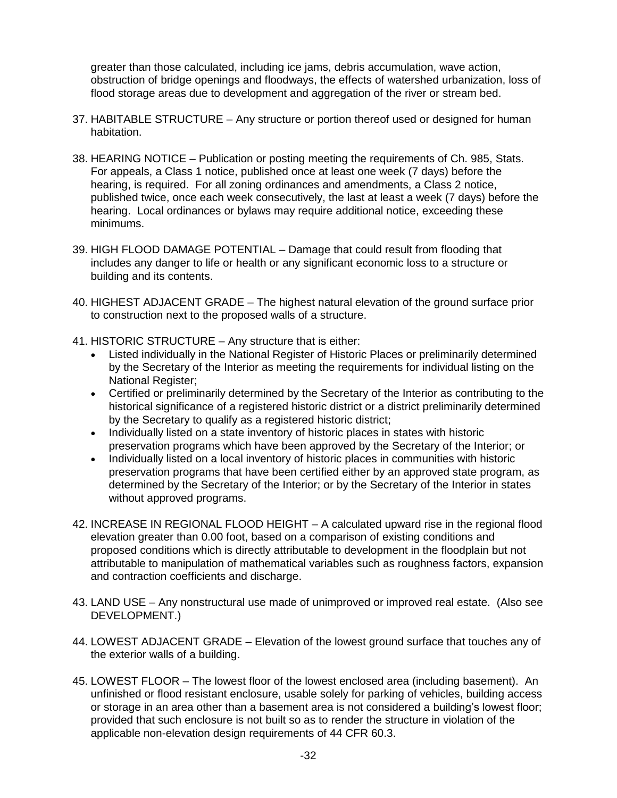greater than those calculated, including ice jams, debris accumulation, wave action, obstruction of bridge openings and floodways, the effects of watershed urbanization, loss of flood storage areas due to development and aggregation of the river or stream bed.

- 37. HABITABLE STRUCTURE Any structure or portion thereof used or designed for human habitation.
- 38. HEARING NOTICE Publication or posting meeting the requirements of Ch. 985, Stats. For appeals, a Class 1 notice, published once at least one week (7 days) before the hearing, is required. For all zoning ordinances and amendments, a Class 2 notice, published twice, once each week consecutively, the last at least a week (7 days) before the hearing. Local ordinances or bylaws may require additional notice, exceeding these minimums.
- 39. HIGH FLOOD DAMAGE POTENTIAL Damage that could result from flooding that includes any danger to life or health or any significant economic loss to a structure or building and its contents.
- 40. HIGHEST ADJACENT GRADE The highest natural elevation of the ground surface prior to construction next to the proposed walls of a structure.
- 41. HISTORIC STRUCTURE Any structure that is either:
	- Listed individually in the National Register of Historic Places or preliminarily determined by the Secretary of the Interior as meeting the requirements for individual listing on the National Register;
	- Certified or preliminarily determined by the Secretary of the Interior as contributing to the historical significance of a registered historic district or a district preliminarily determined by the Secretary to qualify as a registered historic district;
	- Individually listed on a state inventory of historic places in states with historic preservation programs which have been approved by the Secretary of the Interior; or
	- Individually listed on a local inventory of historic places in communities with historic preservation programs that have been certified either by an approved state program, as determined by the Secretary of the Interior; or by the Secretary of the Interior in states without approved programs.
- 42. INCREASE IN REGIONAL FLOOD HEIGHT A calculated upward rise in the regional flood elevation greater than 0.00 foot, based on a comparison of existing conditions and proposed conditions which is directly attributable to development in the floodplain but not attributable to manipulation of mathematical variables such as roughness factors, expansion and contraction coefficients and discharge.
- 43. LAND USE Any nonstructural use made of unimproved or improved real estate. (Also see DEVELOPMENT.)
- 44. LOWEST ADJACENT GRADE Elevation of the lowest ground surface that touches any of the exterior walls of a building.
- 45. LOWEST FLOOR The lowest floor of the lowest enclosed area (including basement). An unfinished or flood resistant enclosure, usable solely for parking of vehicles, building access or storage in an area other than a basement area is not considered a building's lowest floor; provided that such enclosure is not built so as to render the structure in violation of the applicable non-elevation design requirements of 44 CFR 60.3.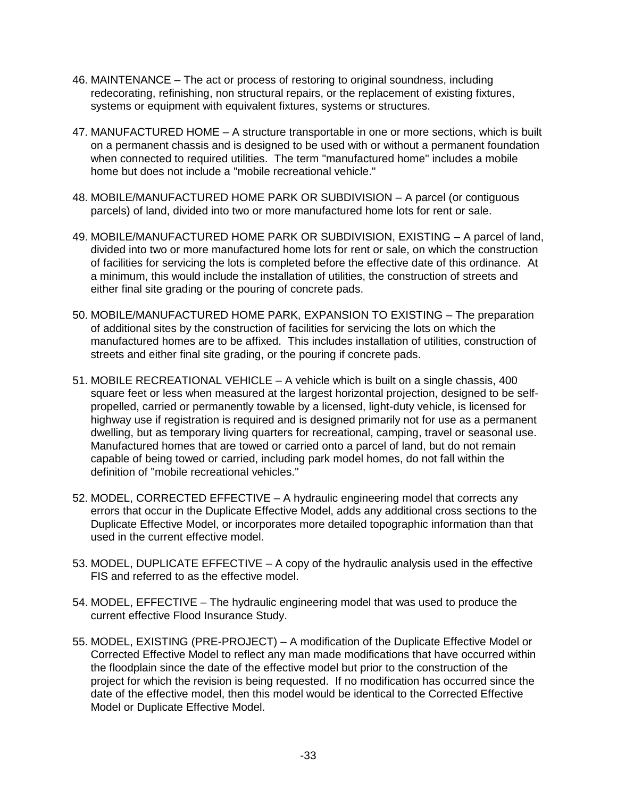- 46. MAINTENANCE The act or process of restoring to original soundness, including redecorating, refinishing, non structural repairs, or the replacement of existing fixtures, systems or equipment with equivalent fixtures, systems or structures.
- 47. MANUFACTURED HOME A structure transportable in one or more sections, which is built on a permanent chassis and is designed to be used with or without a permanent foundation when connected to required utilities. The term "manufactured home" includes a mobile home but does not include a "mobile recreational vehicle."
- 48. MOBILE/MANUFACTURED HOME PARK OR SUBDIVISION A parcel (or contiguous parcels) of land, divided into two or more manufactured home lots for rent or sale.
- 49. MOBILE/MANUFACTURED HOME PARK OR SUBDIVISION, EXISTING A parcel of land, divided into two or more manufactured home lots for rent or sale, on which the construction of facilities for servicing the lots is completed before the effective date of this ordinance. At a minimum, this would include the installation of utilities, the construction of streets and either final site grading or the pouring of concrete pads.
- 50. MOBILE/MANUFACTURED HOME PARK, EXPANSION TO EXISTING The preparation of additional sites by the construction of facilities for servicing the lots on which the manufactured homes are to be affixed. This includes installation of utilities, construction of streets and either final site grading, or the pouring if concrete pads.
- 51. MOBILE RECREATIONAL VEHICLE A vehicle which is built on a single chassis, 400 square feet or less when measured at the largest horizontal projection, designed to be selfpropelled, carried or permanently towable by a licensed, light-duty vehicle, is licensed for highway use if registration is required and is designed primarily not for use as a permanent dwelling, but as temporary living quarters for recreational, camping, travel or seasonal use. Manufactured homes that are towed or carried onto a parcel of land, but do not remain capable of being towed or carried, including park model homes, do not fall within the definition of "mobile recreational vehicles."
- 52. MODEL, CORRECTED EFFECTIVE A hydraulic engineering model that corrects any errors that occur in the Duplicate Effective Model, adds any additional cross sections to the Duplicate Effective Model, or incorporates more detailed topographic information than that used in the current effective model.
- 53. MODEL, DUPLICATE EFFECTIVE A copy of the hydraulic analysis used in the effective FIS and referred to as the effective model.
- 54. MODEL, EFFECTIVE The hydraulic engineering model that was used to produce the current effective Flood Insurance Study.
- 55. MODEL, EXISTING (PRE-PROJECT) A modification of the Duplicate Effective Model or Corrected Effective Model to reflect any man made modifications that have occurred within the floodplain since the date of the effective model but prior to the construction of the project for which the revision is being requested. If no modification has occurred since the date of the effective model, then this model would be identical to the Corrected Effective Model or Duplicate Effective Model.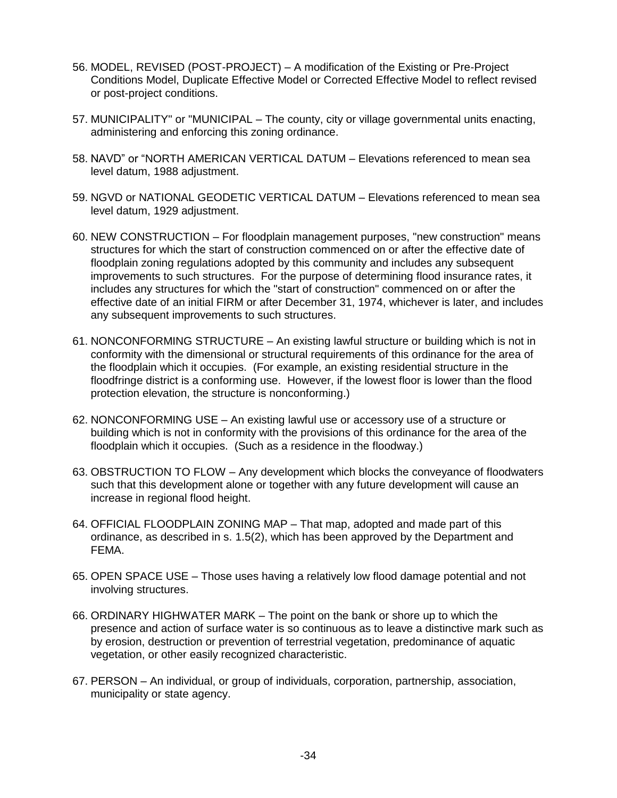- 56. MODEL, REVISED (POST-PROJECT) A modification of the Existing or Pre-Project Conditions Model, Duplicate Effective Model or Corrected Effective Model to reflect revised or post-project conditions.
- 57. MUNICIPALITY" or "MUNICIPAL The county, city or village governmental units enacting, administering and enforcing this zoning ordinance.
- 58. NAVD" or "NORTH AMERICAN VERTICAL DATUM Elevations referenced to mean sea level datum, 1988 adjustment.
- 59. NGVD or NATIONAL GEODETIC VERTICAL DATUM Elevations referenced to mean sea level datum, 1929 adjustment.
- 60. NEW CONSTRUCTION For floodplain management purposes, "new construction" means structures for which the start of construction commenced on or after the effective date of floodplain zoning regulations adopted by this community and includes any subsequent improvements to such structures. For the purpose of determining flood insurance rates, it includes any structures for which the "start of construction" commenced on or after the effective date of an initial FIRM or after December 31, 1974, whichever is later, and includes any subsequent improvements to such structures.
- 61. NONCONFORMING STRUCTURE An existing lawful structure or building which is not in conformity with the dimensional or structural requirements of this ordinance for the area of the floodplain which it occupies. (For example, an existing residential structure in the floodfringe district is a conforming use. However, if the lowest floor is lower than the flood protection elevation, the structure is nonconforming.)
- 62. NONCONFORMING USE An existing lawful use or accessory use of a structure or building which is not in conformity with the provisions of this ordinance for the area of the floodplain which it occupies. (Such as a residence in the floodway.)
- 63. OBSTRUCTION TO FLOW Any development which blocks the conveyance of floodwaters such that this development alone or together with any future development will cause an increase in regional flood height.
- 64. OFFICIAL FLOODPLAIN ZONING MAP That map, adopted and made part of this ordinance, as described in s. 1.5(2), which has been approved by the Department and FEMA.
- 65. OPEN SPACE USE Those uses having a relatively low flood damage potential and not involving structures.
- 66. ORDINARY HIGHWATER MARK The point on the bank or shore up to which the presence and action of surface water is so continuous as to leave a distinctive mark such as by erosion, destruction or prevention of terrestrial vegetation, predominance of aquatic vegetation, or other easily recognized characteristic.
- 67. PERSON An individual, or group of individuals, corporation, partnership, association, municipality or state agency.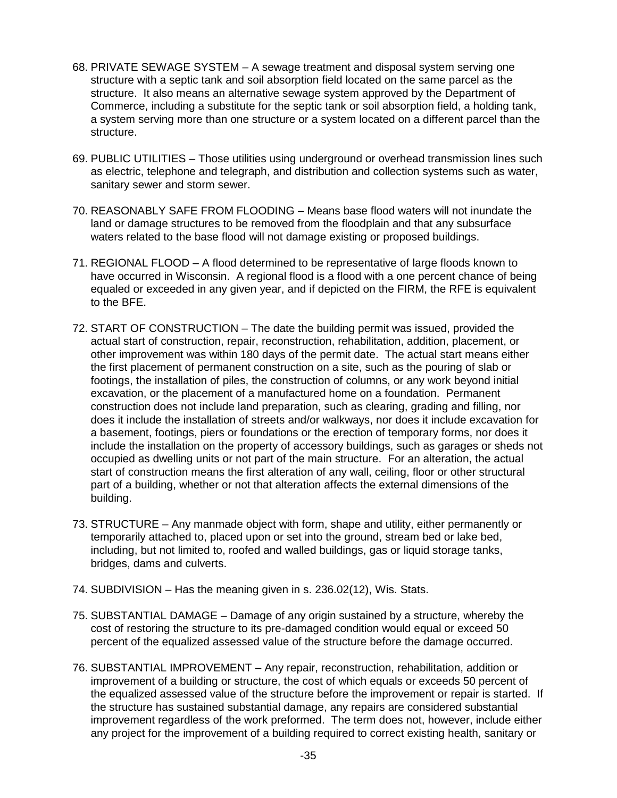- 68. PRIVATE SEWAGE SYSTEM A sewage treatment and disposal system serving one structure with a septic tank and soil absorption field located on the same parcel as the structure. It also means an alternative sewage system approved by the Department of Commerce, including a substitute for the septic tank or soil absorption field, a holding tank, a system serving more than one structure or a system located on a different parcel than the structure.
- 69. PUBLIC UTILITIES Those utilities using underground or overhead transmission lines such as electric, telephone and telegraph, and distribution and collection systems such as water, sanitary sewer and storm sewer.
- 70. REASONABLY SAFE FROM FLOODING Means base flood waters will not inundate the land or damage structures to be removed from the floodplain and that any subsurface waters related to the base flood will not damage existing or proposed buildings.
- 71. REGIONAL FLOOD A flood determined to be representative of large floods known to have occurred in Wisconsin. A regional flood is a flood with a one percent chance of being equaled or exceeded in any given year, and if depicted on the FIRM, the RFE is equivalent to the BFE.
- 72. START OF CONSTRUCTION The date the building permit was issued, provided the actual start of construction, repair, reconstruction, rehabilitation, addition, placement, or other improvement was within 180 days of the permit date. The actual start means either the first placement of permanent construction on a site, such as the pouring of slab or footings, the installation of piles, the construction of columns, or any work beyond initial excavation, or the placement of a manufactured home on a foundation. Permanent construction does not include land preparation, such as clearing, grading and filling, nor does it include the installation of streets and/or walkways, nor does it include excavation for a basement, footings, piers or foundations or the erection of temporary forms, nor does it include the installation on the property of accessory buildings, such as garages or sheds not occupied as dwelling units or not part of the main structure. For an alteration, the actual start of construction means the first alteration of any wall, ceiling, floor or other structural part of a building, whether or not that alteration affects the external dimensions of the building.
- 73. STRUCTURE Any manmade object with form, shape and utility, either permanently or temporarily attached to, placed upon or set into the ground, stream bed or lake bed, including, but not limited to, roofed and walled buildings, gas or liquid storage tanks, bridges, dams and culverts.
- 74. SUBDIVISION Has the meaning given in s. 236.02(12), Wis. Stats.
- 75. SUBSTANTIAL DAMAGE Damage of any origin sustained by a structure, whereby the cost of restoring the structure to its pre-damaged condition would equal or exceed 50 percent of the equalized assessed value of the structure before the damage occurred.
- 76. SUBSTANTIAL IMPROVEMENT Any repair, reconstruction, rehabilitation, addition or improvement of a building or structure, the cost of which equals or exceeds 50 percent of the equalized assessed value of the structure before the improvement or repair is started. If the structure has sustained substantial damage, any repairs are considered substantial improvement regardless of the work preformed. The term does not, however, include either any project for the improvement of a building required to correct existing health, sanitary or